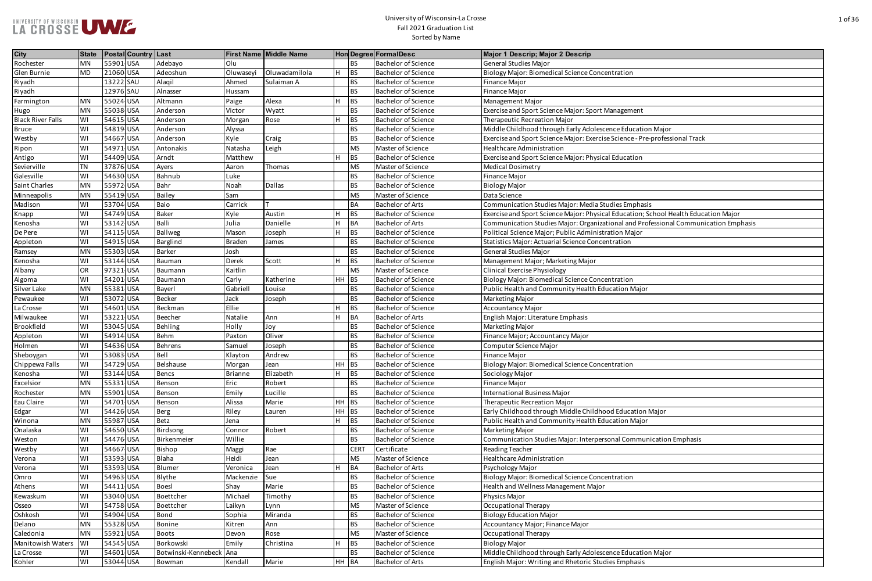| entration                                      |
|------------------------------------------------|
|                                                |
|                                                |
|                                                |
| Management                                     |
|                                                |
|                                                |
| ence Education Major                           |
| e Science - Pre-professional Track             |
|                                                |
| al Education                                   |
|                                                |
|                                                |
|                                                |
|                                                |
| udies Emphasis                                 |
| al Education; School Health Education Major    |
| tional and Professional Communication Emphasis |
| ation Major                                    |
| ntration                                       |
|                                                |
|                                                |
|                                                |
|                                                |
| entration                                      |
| ucation Major                                  |
|                                                |
|                                                |
|                                                |
|                                                |
|                                                |
|                                                |
|                                                |
| entration                                      |
|                                                |
|                                                |
|                                                |
|                                                |
|                                                |
| od Education Major                             |
| ucation Major                                  |
|                                                |
| sonal Communication Emphasis                   |
|                                                |
|                                                |
|                                                |
|                                                |
| entration                                      |
|                                                |
|                                                |
|                                                |
|                                                |
|                                                |
|                                                |
|                                                |
| ence Education Major                           |
| lies Emphasis                                  |
|                                                |

| City                     | <b>State</b> |           | <b>Postal Country Last</b> |                         |                | <b>First Name Middle Name</b> |    |             | <b>Hon Degree FormalDesc</b> | Major 1 Descrip; Major 2 Descrip                                                    |
|--------------------------|--------------|-----------|----------------------------|-------------------------|----------------|-------------------------------|----|-------------|------------------------------|-------------------------------------------------------------------------------------|
| Rochester                | <b>MN</b>    | 55901 USA |                            | Adebayo                 | Olu            |                               |    | <b>BS</b>   | <b>Bachelor of Science</b>   | General Studies Major                                                               |
| Glen Burnie              | <b>MD</b>    | 21060 USA |                            | Adeoshun                | Oluwaseyi      | Oluwadamilola                 |    | <b>BS</b>   | <b>Bachelor of Science</b>   | Biology Major: Biomedical Science Concentration                                     |
| Riyadh                   |              | 13222 SAU |                            | Alaqil                  | Ahmed          | Sulaiman A                    |    | <b>BS</b>   | <b>Bachelor of Science</b>   | Finance Major                                                                       |
| Riyadh                   |              | 12976 SAU |                            | Alnasser                | Hussam         |                               |    | <b>BS</b>   | <b>Bachelor of Science</b>   | Finance Major                                                                       |
| Farmington               | <b>MN</b>    | 55024 USA |                            | Altmann                 | Paige          | Alexa                         |    | <b>BS</b>   | <b>Bachelor of Science</b>   | Management Major                                                                    |
| Hugo                     | <b>MN</b>    | 55038 USA |                            | Anderson                | Victor         | Wyatt                         |    | <b>BS</b>   | <b>Bachelor of Science</b>   | Exercise and Sport Science Major: Sport Management                                  |
| <b>Black River Falls</b> | WI           | 54615 USA |                            | Anderson                | Morgan         | Rose                          |    | <b>BS</b>   | <b>Bachelor of Science</b>   | Therapeutic Recreation Major                                                        |
| <b>Bruce</b>             | WI           | 54819 USA |                            | Anderson                | Alyssa         |                               |    | <b>BS</b>   | <b>Bachelor of Science</b>   | Middle Childhood through Early Adolescence Education Major                          |
| Westby                   | WI           | 54667 USA |                            | Anderson                | Kyle           | Craig                         |    | <b>BS</b>   | <b>Bachelor of Science</b>   | Exercise and Sport Science Major: Exercise Science - Pre-professional Track         |
| Ripon                    | WI           | 54971 USA |                            | Antonakis               | Natasha        | Leigh                         |    | <b>MS</b>   | Master of Science            | Healthcare Administration                                                           |
| Antigo                   | WI           | 54409 USA |                            | Arndt                   | Matthew        |                               |    | <b>BS</b>   | <b>Bachelor of Science</b>   | Exercise and Sport Science Major: Physical Education                                |
| Sevierville              | TN           | 37876 USA |                            | Ayers                   | Aaron          | Thomas                        |    | <b>MS</b>   | Master of Science            | <b>Medical Dosimetry</b>                                                            |
| Galesville               | WI           | 54630 USA |                            | Bahnub                  | Luke           |                               |    | <b>BS</b>   | <b>Bachelor of Science</b>   | <b>Finance Major</b>                                                                |
| Saint Charles            | <b>MN</b>    | 55972 USA |                            | Bahr                    | Noah           | Dallas                        |    | <b>BS</b>   | <b>Bachelor of Science</b>   | <b>Biology Major</b>                                                                |
| Minneapolis              | <b>MN</b>    | 55419 USA |                            | Bailey                  | Sam            |                               |    | <b>MS</b>   | Master of Science            | Data Science                                                                        |
| Madison                  | WI           | 53704 USA |                            | Baio                    | Carrick        |                               |    | <b>BA</b>   | <b>Bachelor of Arts</b>      | Communication Studies Major: Media Studies Emphasis                                 |
| Knapp                    | WI           | 54749 USA |                            | <b>Baker</b>            | Kyle           | Austin                        |    | <b>BS</b>   | <b>Bachelor of Science</b>   | Exercise and Sport Science Major: Physical Education; School Health Education Major |
| Kenosha                  | WI           | 53142 USA |                            | Balli                   | Julia          | Danielle                      |    | <b>BA</b>   | <b>Bachelor of Arts</b>      | Communication Studies Major: Organizational and Professional Communication Emphasis |
| De Pere                  | WI           | 54115 USA |                            | Ballweg                 | Mason          | Joseph                        |    | <b>BS</b>   | <b>Bachelor of Science</b>   | Political Science Major; Public Administration Major                                |
| Appleton                 | WI           | 54915 USA |                            | Barglind                | <b>Braden</b>  | James                         |    | <b>BS</b>   | <b>Bachelor of Science</b>   | <b>Statistics Major: Actuarial Science Concentration</b>                            |
| Ramsey                   | <b>MN</b>    | 55303 USA |                            | <b>Barker</b>           | Josh           |                               |    | <b>BS</b>   | <b>Bachelor of Science</b>   | <b>General Studies Major</b>                                                        |
| Kenosha                  | WI           | 53144 USA |                            | Bauman                  | <b>Derek</b>   | Scott                         |    | <b>BS</b>   | <b>Bachelor of Science</b>   | Management Major; Marketing Major                                                   |
| Albany                   | OR           | 97321 USA |                            | Baumann                 | Kaitlin        |                               |    | <b>MS</b>   | Master of Science            | <b>Clinical Exercise Physiology</b>                                                 |
| Algoma                   | WI           | 54201 USA |                            | Baumann                 | Carly          | Katherine                     | HН | BS          | <b>Bachelor of Science</b>   | <b>Biology Major: Biomedical Science Concentration</b>                              |
| Silver Lake              | <b>MN</b>    | 55381 USA |                            | Bayerl                  | Gabriell       | Louise                        |    | <b>BS</b>   | <b>Bachelor of Science</b>   | Public Health and Community Health Education Major                                  |
| Pewaukee                 | WI           | 53072 USA |                            | <b>Becker</b>           | Jack           | Joseph                        |    | <b>BS</b>   | <b>Bachelor of Science</b>   | Marketing Major                                                                     |
| La Crosse                | WI           | 54601 USA |                            | Beckman                 | Ellie          |                               |    | <b>BS</b>   | <b>Bachelor of Science</b>   | <b>Accountancy Major</b>                                                            |
| Milwaukee                | WI           | 53221 USA |                            | Beecher                 | Natalie        | Ann                           |    | <b>BA</b>   | <b>Bachelor of Arts</b>      | English Major: Literature Emphasis                                                  |
| Brookfield               | WI           | 53045 USA |                            | Behling                 | Holly          | Joy                           |    | <b>BS</b>   | <b>Bachelor of Science</b>   | Marketing Major                                                                     |
| Appleton                 | WI           | 54914 USA |                            | Behm                    | Paxton         | Oliver                        |    | <b>BS</b>   | <b>Bachelor of Science</b>   | Finance Major; Accountancy Major                                                    |
| Holmen                   | WI           | 54636 USA |                            | <b>Behrens</b>          | Samuel         | Joseph                        |    | <b>BS</b>   | <b>Bachelor of Science</b>   | Computer Science Major                                                              |
| Sheboygan                | WI           | 53083 USA |                            | Bell                    | Klayton        | Andrew                        |    | <b>BS</b>   | <b>Bachelor of Science</b>   | <b>Finance Major</b>                                                                |
| Chippewa Falls           | WI           | 54729 USA |                            | Belshause               | Morgan         | Jean                          | ΗH | <b>BS</b>   | <b>Bachelor of Science</b>   | <b>Biology Major: Biomedical Science Concentration</b>                              |
| Kenosha                  | WI           | 53144 USA |                            | Bencs                   | <b>Brianne</b> | Elizabeth                     |    | <b>BS</b>   | <b>Bachelor of Science</b>   | Sociology Major                                                                     |
| Excelsior                | <b>MN</b>    | 55331 USA |                            | Benson                  | Eric           | Robert                        |    | <b>BS</b>   | <b>Bachelor of Science</b>   | Finance Major                                                                       |
| Rochester                | <b>MN</b>    | 55901 USA |                            | Benson                  | Emily          | Lucille                       |    | <b>BS</b>   | <b>Bachelor of Science</b>   | <b>International Business Major</b>                                                 |
| Eau Claire               | WI           | 54701 USA |                            | Benson                  | Alissa         | Marie                         |    | HH BS       | <b>Bachelor of Science</b>   | Therapeutic Recreation Major                                                        |
| Edgar                    | WI           | 54426 USA |                            | <b>Berg</b>             | Riley          | Lauren                        |    | HH BS       | <b>Bachelor of Science</b>   | Early Childhood through Middle Childhood Education Major                            |
| Winona                   | <b>MN</b>    | 55987 USA |                            | Betz                    | Jena           |                               |    | <b>BS</b>   | <b>Bachelor of Science</b>   | Public Health and Community Health Education Major                                  |
| Onalaska                 | WI           | 54650 USA |                            | Birdsong                | Connor         | Robert                        |    | <b>BS</b>   | <b>Bachelor of Science</b>   | Marketing Major                                                                     |
| Weston                   | WI           | 54476 USA |                            | Birkenmeier             | Willie         |                               |    | <b>BS</b>   | <b>Bachelor of Science</b>   | Communication Studies Major: Interpersonal Communication Emphasis                   |
| Westby                   | WI           | 54667 USA |                            | Bishop                  | Maggi          | Rae                           |    | <b>CERT</b> | Certificate                  | Reading Teacher                                                                     |
| Verona                   | WI           | 53593 USA |                            | Blaha                   | Heidi          | Jean                          |    | <b>MS</b>   | Master of Science            | Healthcare Administration                                                           |
| Verona                   | WI           | 53593 USA |                            | Blumer                  | Veronica       | Jean                          |    | BA          | <b>Bachelor of Arts</b>      | Psychology Major                                                                    |
| Omro                     | WI           | 54963 USA |                            | Blythe                  | Mackenzie      | Sue                           |    | <b>BS</b>   | <b>Bachelor of Science</b>   | <b>Biology Major: Biomedical Science Concentration</b>                              |
| Athens                   | WI           | 54411 USA |                            | Boesl                   | Shay           | Marie                         |    | <b>BS</b>   | <b>Bachelor of Science</b>   | Health and Wellness Management Major                                                |
| Kewaskum                 | WI           | 53040 USA |                            | Boettcher               | Michael        | Timothy                       |    | BS          | <b>Bachelor of Science</b>   | <b>Physics Major</b>                                                                |
| Osseo                    | WI           | 54758 USA |                            | Boettcher               | Laikyn         | Lynn                          |    | <b>MS</b>   | Master of Science            | Occupational Therapy                                                                |
| Oshkosh                  | WI           | 54904 USA |                            | Bond                    | Sophia         | Miranda                       |    | <b>BS</b>   | <b>Bachelor of Science</b>   | <b>Biology Education Major</b>                                                      |
| Delano                   | <b>MN</b>    | 55328 USA |                            | Bonine                  | Kitren         | Ann                           |    | <b>BS</b>   | <b>Bachelor of Science</b>   | Accountancy Major; Finance Major                                                    |
| Caledonia                | <b>MN</b>    | 55921 USA |                            | <b>Boots</b>            | Devon          | Rose                          |    | <b>MS</b>   | Master of Science            | <b>Occupational Therapy</b>                                                         |
| Manitowish Waters        | WI           | 54545 USA |                            | Borkowski               | Emily          | Christina                     |    | <b>BS</b>   | <b>Bachelor of Science</b>   | <b>Biology Major</b>                                                                |
| La Crosse                | WI           | 54601 USA |                            | Botwinski-Kennebeck Ana |                |                               |    | <b>BS</b>   | <b>Bachelor of Science</b>   | Middle Childhood through Early Adolescence Education Major                          |
| Kohler                   | WI           | 53044 USA |                            | Bowman                  | Kendall        | Marie                         |    | HH BA       | <b>Bachelor of Arts</b>      | English Major: Writing and Rhetoric Studies Emphasis                                |
|                          |              |           |                            |                         |                |                               |    |             |                              |                                                                                     |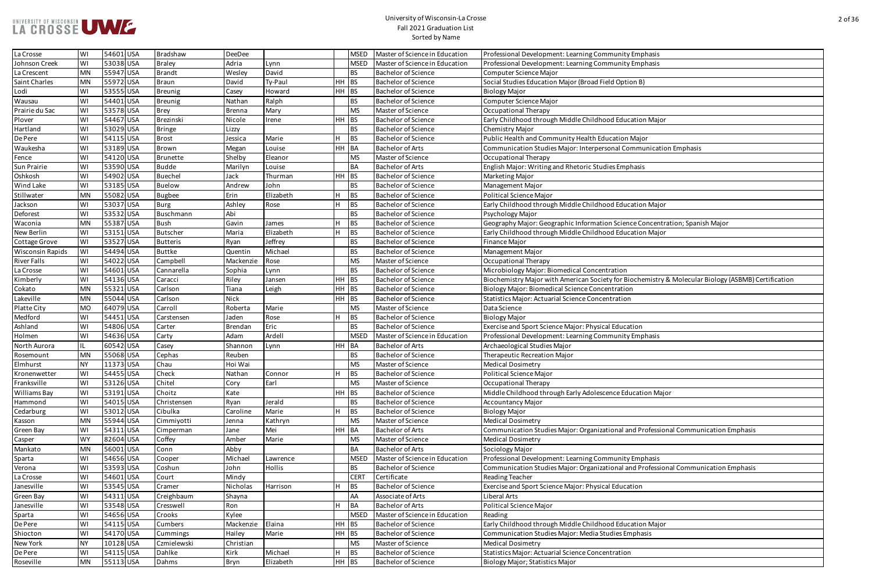

| munity Emphasis                                               |
|---------------------------------------------------------------|
| munity Emphasis                                               |
|                                                               |
| eld Option B)                                                 |
|                                                               |
|                                                               |
|                                                               |
| od Education Major                                            |
|                                                               |
|                                                               |
| ucation Major                                                 |
| sonal Communication Emphasis                                  |
|                                                               |
| lies Emphasis                                                 |
|                                                               |
|                                                               |
|                                                               |
| od Education Major                                            |
|                                                               |
| on Science Concentration; Spanish Major                       |
| od Education Major                                            |
|                                                               |
|                                                               |
|                                                               |
|                                                               |
| tration                                                       |
| ty for Biochemistry & Molecular Biology (ASBMB) Certification |
| entration                                                     |
| ntration                                                      |
|                                                               |
|                                                               |
| al Education                                                  |
| munity Emphasis                                               |
|                                                               |
|                                                               |
|                                                               |
|                                                               |
|                                                               |
| ence Education Major                                          |
|                                                               |
|                                                               |
|                                                               |
|                                                               |
| tional and Professional Communication Emphasis                |
|                                                               |
|                                                               |
| nmunity Emphasis                                              |
| tional and Professional Communication Emphasis                |
|                                                               |
| al Education                                                  |
|                                                               |
|                                                               |
|                                                               |
| od Education Major                                            |
| udies Emphasis                                                |
|                                                               |
|                                                               |
| ntration                                                      |
|                                                               |

| WI        |                                                                                                                                                                                                                                                                                                              | Bradshaw                                                                                                                                                                                                                                                                                                                                                                                                                                                                                                                                                                                                                                                                                                                                | DeeDee                                                                                                                                                                                                                                                                                                                                                                                                                                                                                                                   |                                                                                                                                                                                                                                                                                                                                                          |                                                                                                                                                                                                                                                                    | <b>MSED</b>                     | Master of Science in Education                                                                                                                                                                                                                                                                                                                                                                                                                                                                                    | Professional Development: Learning Community Emphasis                                                                                                                                                                                                                                                                                                                                                                                                                                                                                                                                                                                                                                                                                                                                                                                                                                                                                                                                                                                                                                              |
|-----------|--------------------------------------------------------------------------------------------------------------------------------------------------------------------------------------------------------------------------------------------------------------------------------------------------------------|-----------------------------------------------------------------------------------------------------------------------------------------------------------------------------------------------------------------------------------------------------------------------------------------------------------------------------------------------------------------------------------------------------------------------------------------------------------------------------------------------------------------------------------------------------------------------------------------------------------------------------------------------------------------------------------------------------------------------------------------|--------------------------------------------------------------------------------------------------------------------------------------------------------------------------------------------------------------------------------------------------------------------------------------------------------------------------------------------------------------------------------------------------------------------------------------------------------------------------------------------------------------------------|----------------------------------------------------------------------------------------------------------------------------------------------------------------------------------------------------------------------------------------------------------------------------------------------------------------------------------------------------------|--------------------------------------------------------------------------------------------------------------------------------------------------------------------------------------------------------------------------------------------------------------------|---------------------------------|-------------------------------------------------------------------------------------------------------------------------------------------------------------------------------------------------------------------------------------------------------------------------------------------------------------------------------------------------------------------------------------------------------------------------------------------------------------------------------------------------------------------|----------------------------------------------------------------------------------------------------------------------------------------------------------------------------------------------------------------------------------------------------------------------------------------------------------------------------------------------------------------------------------------------------------------------------------------------------------------------------------------------------------------------------------------------------------------------------------------------------------------------------------------------------------------------------------------------------------------------------------------------------------------------------------------------------------------------------------------------------------------------------------------------------------------------------------------------------------------------------------------------------------------------------------------------------------------------------------------------------|
| WI        |                                                                                                                                                                                                                                                                                                              |                                                                                                                                                                                                                                                                                                                                                                                                                                                                                                                                                                                                                                                                                                                                         | Adria                                                                                                                                                                                                                                                                                                                                                                                                                                                                                                                    | Lynn                                                                                                                                                                                                                                                                                                                                                     |                                                                                                                                                                                                                                                                    | <b>MSED</b>                     | Master of Science in Education                                                                                                                                                                                                                                                                                                                                                                                                                                                                                    | Professional Development: Learning Community Emphasis                                                                                                                                                                                                                                                                                                                                                                                                                                                                                                                                                                                                                                                                                                                                                                                                                                                                                                                                                                                                                                              |
| <b>MN</b> |                                                                                                                                                                                                                                                                                                              | <b>Brandt</b>                                                                                                                                                                                                                                                                                                                                                                                                                                                                                                                                                                                                                                                                                                                           | Wesley                                                                                                                                                                                                                                                                                                                                                                                                                                                                                                                   | David                                                                                                                                                                                                                                                                                                                                                    |                                                                                                                                                                                                                                                                    | <b>BS</b>                       | <b>Bachelor of Science</b>                                                                                                                                                                                                                                                                                                                                                                                                                                                                                        | Computer Science Major                                                                                                                                                                                                                                                                                                                                                                                                                                                                                                                                                                                                                                                                                                                                                                                                                                                                                                                                                                                                                                                                             |
| <b>MN</b> |                                                                                                                                                                                                                                                                                                              | <b>Braun</b>                                                                                                                                                                                                                                                                                                                                                                                                                                                                                                                                                                                                                                                                                                                            | David                                                                                                                                                                                                                                                                                                                                                                                                                                                                                                                    | Ty-Paul                                                                                                                                                                                                                                                                                                                                                  | HH                                                                                                                                                                                                                                                                 |                                 | <b>Bachelor of Science</b>                                                                                                                                                                                                                                                                                                                                                                                                                                                                                        | Social Studies Education Major (Broad Field Option B)                                                                                                                                                                                                                                                                                                                                                                                                                                                                                                                                                                                                                                                                                                                                                                                                                                                                                                                                                                                                                                              |
| WI        |                                                                                                                                                                                                                                                                                                              | <b>Breunig</b>                                                                                                                                                                                                                                                                                                                                                                                                                                                                                                                                                                                                                                                                                                                          | Casey                                                                                                                                                                                                                                                                                                                                                                                                                                                                                                                    | Howard                                                                                                                                                                                                                                                                                                                                                   |                                                                                                                                                                                                                                                                    |                                 | <b>Bachelor of Science</b>                                                                                                                                                                                                                                                                                                                                                                                                                                                                                        | <b>Biology Major</b>                                                                                                                                                                                                                                                                                                                                                                                                                                                                                                                                                                                                                                                                                                                                                                                                                                                                                                                                                                                                                                                                               |
| WI        |                                                                                                                                                                                                                                                                                                              | <b>Breunig</b>                                                                                                                                                                                                                                                                                                                                                                                                                                                                                                                                                                                                                                                                                                                          | Nathan                                                                                                                                                                                                                                                                                                                                                                                                                                                                                                                   | Ralph                                                                                                                                                                                                                                                                                                                                                    |                                                                                                                                                                                                                                                                    | <b>BS</b>                       | <b>Bachelor of Science</b>                                                                                                                                                                                                                                                                                                                                                                                                                                                                                        | Computer Science Major                                                                                                                                                                                                                                                                                                                                                                                                                                                                                                                                                                                                                                                                                                                                                                                                                                                                                                                                                                                                                                                                             |
| WI        |                                                                                                                                                                                                                                                                                                              | <b>Brey</b>                                                                                                                                                                                                                                                                                                                                                                                                                                                                                                                                                                                                                                                                                                                             | <b>Brenna</b>                                                                                                                                                                                                                                                                                                                                                                                                                                                                                                            | Mary                                                                                                                                                                                                                                                                                                                                                     |                                                                                                                                                                                                                                                                    | <b>MS</b>                       | Master of Science                                                                                                                                                                                                                                                                                                                                                                                                                                                                                                 | Occupational Therapy                                                                                                                                                                                                                                                                                                                                                                                                                                                                                                                                                                                                                                                                                                                                                                                                                                                                                                                                                                                                                                                                               |
| WI        |                                                                                                                                                                                                                                                                                                              | Brezinski                                                                                                                                                                                                                                                                                                                                                                                                                                                                                                                                                                                                                                                                                                                               | Nicole                                                                                                                                                                                                                                                                                                                                                                                                                                                                                                                   | Irene                                                                                                                                                                                                                                                                                                                                                    |                                                                                                                                                                                                                                                                    |                                 | <b>Bachelor of Science</b>                                                                                                                                                                                                                                                                                                                                                                                                                                                                                        | Early Childhood through Middle Childhood Education Major                                                                                                                                                                                                                                                                                                                                                                                                                                                                                                                                                                                                                                                                                                                                                                                                                                                                                                                                                                                                                                           |
| WI        |                                                                                                                                                                                                                                                                                                              |                                                                                                                                                                                                                                                                                                                                                                                                                                                                                                                                                                                                                                                                                                                                         | Lizzy                                                                                                                                                                                                                                                                                                                                                                                                                                                                                                                    |                                                                                                                                                                                                                                                                                                                                                          |                                                                                                                                                                                                                                                                    | <b>BS</b>                       | <b>Bachelor of Science</b>                                                                                                                                                                                                                                                                                                                                                                                                                                                                                        | Chemistry Major                                                                                                                                                                                                                                                                                                                                                                                                                                                                                                                                                                                                                                                                                                                                                                                                                                                                                                                                                                                                                                                                                    |
| WI        |                                                                                                                                                                                                                                                                                                              | <b>Brost</b>                                                                                                                                                                                                                                                                                                                                                                                                                                                                                                                                                                                                                                                                                                                            | Jessica                                                                                                                                                                                                                                                                                                                                                                                                                                                                                                                  | Marie                                                                                                                                                                                                                                                                                                                                                    | H                                                                                                                                                                                                                                                                  | <b>BS</b>                       | <b>Bachelor of Science</b>                                                                                                                                                                                                                                                                                                                                                                                                                                                                                        | Public Health and Community Health Education Major                                                                                                                                                                                                                                                                                                                                                                                                                                                                                                                                                                                                                                                                                                                                                                                                                                                                                                                                                                                                                                                 |
|           |                                                                                                                                                                                                                                                                                                              | Brown                                                                                                                                                                                                                                                                                                                                                                                                                                                                                                                                                                                                                                                                                                                                   | Megan                                                                                                                                                                                                                                                                                                                                                                                                                                                                                                                    | Louise                                                                                                                                                                                                                                                                                                                                                   |                                                                                                                                                                                                                                                                    |                                 | <b>Bachelor of Arts</b>                                                                                                                                                                                                                                                                                                                                                                                                                                                                                           | Communication Studies Major: Interpersonal Communication Emphasis                                                                                                                                                                                                                                                                                                                                                                                                                                                                                                                                                                                                                                                                                                                                                                                                                                                                                                                                                                                                                                  |
| WI        |                                                                                                                                                                                                                                                                                                              | <b>Brunette</b>                                                                                                                                                                                                                                                                                                                                                                                                                                                                                                                                                                                                                                                                                                                         | Shelby                                                                                                                                                                                                                                                                                                                                                                                                                                                                                                                   | Eleanor                                                                                                                                                                                                                                                                                                                                                  |                                                                                                                                                                                                                                                                    | <b>MS</b>                       | Master of Science                                                                                                                                                                                                                                                                                                                                                                                                                                                                                                 | Occupational Therapy                                                                                                                                                                                                                                                                                                                                                                                                                                                                                                                                                                                                                                                                                                                                                                                                                                                                                                                                                                                                                                                                               |
| WI        |                                                                                                                                                                                                                                                                                                              | <b>Budde</b>                                                                                                                                                                                                                                                                                                                                                                                                                                                                                                                                                                                                                                                                                                                            | Marilyn                                                                                                                                                                                                                                                                                                                                                                                                                                                                                                                  | Louise                                                                                                                                                                                                                                                                                                                                                   |                                                                                                                                                                                                                                                                    | BA                              | <b>Bachelor of Arts</b>                                                                                                                                                                                                                                                                                                                                                                                                                                                                                           | English Major: Writing and Rhetoric Studies Emphasis                                                                                                                                                                                                                                                                                                                                                                                                                                                                                                                                                                                                                                                                                                                                                                                                                                                                                                                                                                                                                                               |
|           |                                                                                                                                                                                                                                                                                                              |                                                                                                                                                                                                                                                                                                                                                                                                                                                                                                                                                                                                                                                                                                                                         |                                                                                                                                                                                                                                                                                                                                                                                                                                                                                                                          |                                                                                                                                                                                                                                                                                                                                                          |                                                                                                                                                                                                                                                                    |                                 |                                                                                                                                                                                                                                                                                                                                                                                                                                                                                                                   | Marketing Major                                                                                                                                                                                                                                                                                                                                                                                                                                                                                                                                                                                                                                                                                                                                                                                                                                                                                                                                                                                                                                                                                    |
|           |                                                                                                                                                                                                                                                                                                              |                                                                                                                                                                                                                                                                                                                                                                                                                                                                                                                                                                                                                                                                                                                                         | Andrew                                                                                                                                                                                                                                                                                                                                                                                                                                                                                                                   |                                                                                                                                                                                                                                                                                                                                                          |                                                                                                                                                                                                                                                                    | <b>BS</b>                       |                                                                                                                                                                                                                                                                                                                                                                                                                                                                                                                   | Management Major                                                                                                                                                                                                                                                                                                                                                                                                                                                                                                                                                                                                                                                                                                                                                                                                                                                                                                                                                                                                                                                                                   |
|           |                                                                                                                                                                                                                                                                                                              |                                                                                                                                                                                                                                                                                                                                                                                                                                                                                                                                                                                                                                                                                                                                         | Erin                                                                                                                                                                                                                                                                                                                                                                                                                                                                                                                     |                                                                                                                                                                                                                                                                                                                                                          | н                                                                                                                                                                                                                                                                  |                                 |                                                                                                                                                                                                                                                                                                                                                                                                                                                                                                                   | <b>Political Science Major</b>                                                                                                                                                                                                                                                                                                                                                                                                                                                                                                                                                                                                                                                                                                                                                                                                                                                                                                                                                                                                                                                                     |
|           |                                                                                                                                                                                                                                                                                                              |                                                                                                                                                                                                                                                                                                                                                                                                                                                                                                                                                                                                                                                                                                                                         |                                                                                                                                                                                                                                                                                                                                                                                                                                                                                                                          |                                                                                                                                                                                                                                                                                                                                                          |                                                                                                                                                                                                                                                                    |                                 |                                                                                                                                                                                                                                                                                                                                                                                                                                                                                                                   | Early Childhood through Middle Childhood Education Major                                                                                                                                                                                                                                                                                                                                                                                                                                                                                                                                                                                                                                                                                                                                                                                                                                                                                                                                                                                                                                           |
|           |                                                                                                                                                                                                                                                                                                              |                                                                                                                                                                                                                                                                                                                                                                                                                                                                                                                                                                                                                                                                                                                                         |                                                                                                                                                                                                                                                                                                                                                                                                                                                                                                                          |                                                                                                                                                                                                                                                                                                                                                          |                                                                                                                                                                                                                                                                    |                                 |                                                                                                                                                                                                                                                                                                                                                                                                                                                                                                                   | Psychology Major                                                                                                                                                                                                                                                                                                                                                                                                                                                                                                                                                                                                                                                                                                                                                                                                                                                                                                                                                                                                                                                                                   |
|           |                                                                                                                                                                                                                                                                                                              |                                                                                                                                                                                                                                                                                                                                                                                                                                                                                                                                                                                                                                                                                                                                         |                                                                                                                                                                                                                                                                                                                                                                                                                                                                                                                          | James                                                                                                                                                                                                                                                                                                                                                    |                                                                                                                                                                                                                                                                    |                                 |                                                                                                                                                                                                                                                                                                                                                                                                                                                                                                                   | Geography Major: Geographic Information Science Concentration; Spanish Major                                                                                                                                                                                                                                                                                                                                                                                                                                                                                                                                                                                                                                                                                                                                                                                                                                                                                                                                                                                                                       |
|           |                                                                                                                                                                                                                                                                                                              |                                                                                                                                                                                                                                                                                                                                                                                                                                                                                                                                                                                                                                                                                                                                         |                                                                                                                                                                                                                                                                                                                                                                                                                                                                                                                          |                                                                                                                                                                                                                                                                                                                                                          |                                                                                                                                                                                                                                                                    |                                 |                                                                                                                                                                                                                                                                                                                                                                                                                                                                                                                   | Early Childhood through Middle Childhood Education Major                                                                                                                                                                                                                                                                                                                                                                                                                                                                                                                                                                                                                                                                                                                                                                                                                                                                                                                                                                                                                                           |
|           |                                                                                                                                                                                                                                                                                                              |                                                                                                                                                                                                                                                                                                                                                                                                                                                                                                                                                                                                                                                                                                                                         |                                                                                                                                                                                                                                                                                                                                                                                                                                                                                                                          |                                                                                                                                                                                                                                                                                                                                                          |                                                                                                                                                                                                                                                                    |                                 |                                                                                                                                                                                                                                                                                                                                                                                                                                                                                                                   | Finance Major                                                                                                                                                                                                                                                                                                                                                                                                                                                                                                                                                                                                                                                                                                                                                                                                                                                                                                                                                                                                                                                                                      |
|           |                                                                                                                                                                                                                                                                                                              |                                                                                                                                                                                                                                                                                                                                                                                                                                                                                                                                                                                                                                                                                                                                         |                                                                                                                                                                                                                                                                                                                                                                                                                                                                                                                          |                                                                                                                                                                                                                                                                                                                                                          |                                                                                                                                                                                                                                                                    |                                 |                                                                                                                                                                                                                                                                                                                                                                                                                                                                                                                   | Management Major                                                                                                                                                                                                                                                                                                                                                                                                                                                                                                                                                                                                                                                                                                                                                                                                                                                                                                                                                                                                                                                                                   |
|           |                                                                                                                                                                                                                                                                                                              |                                                                                                                                                                                                                                                                                                                                                                                                                                                                                                                                                                                                                                                                                                                                         |                                                                                                                                                                                                                                                                                                                                                                                                                                                                                                                          |                                                                                                                                                                                                                                                                                                                                                          |                                                                                                                                                                                                                                                                    |                                 |                                                                                                                                                                                                                                                                                                                                                                                                                                                                                                                   | Occupational Therapy                                                                                                                                                                                                                                                                                                                                                                                                                                                                                                                                                                                                                                                                                                                                                                                                                                                                                                                                                                                                                                                                               |
|           |                                                                                                                                                                                                                                                                                                              |                                                                                                                                                                                                                                                                                                                                                                                                                                                                                                                                                                                                                                                                                                                                         |                                                                                                                                                                                                                                                                                                                                                                                                                                                                                                                          | Lynn                                                                                                                                                                                                                                                                                                                                                     |                                                                                                                                                                                                                                                                    |                                 |                                                                                                                                                                                                                                                                                                                                                                                                                                                                                                                   | Microbiology Major: Biomedical Concentration                                                                                                                                                                                                                                                                                                                                                                                                                                                                                                                                                                                                                                                                                                                                                                                                                                                                                                                                                                                                                                                       |
|           |                                                                                                                                                                                                                                                                                                              |                                                                                                                                                                                                                                                                                                                                                                                                                                                                                                                                                                                                                                                                                                                                         |                                                                                                                                                                                                                                                                                                                                                                                                                                                                                                                          |                                                                                                                                                                                                                                                                                                                                                          |                                                                                                                                                                                                                                                                    |                                 |                                                                                                                                                                                                                                                                                                                                                                                                                                                                                                                   | Biochemistry Major with American Society for Biochemistry & Molecular Biology (ASBMB) Certification                                                                                                                                                                                                                                                                                                                                                                                                                                                                                                                                                                                                                                                                                                                                                                                                                                                                                                                                                                                                |
|           |                                                                                                                                                                                                                                                                                                              |                                                                                                                                                                                                                                                                                                                                                                                                                                                                                                                                                                                                                                                                                                                                         |                                                                                                                                                                                                                                                                                                                                                                                                                                                                                                                          |                                                                                                                                                                                                                                                                                                                                                          |                                                                                                                                                                                                                                                                    |                                 |                                                                                                                                                                                                                                                                                                                                                                                                                                                                                                                   | <b>Biology Major: Biomedical Science Concentration</b>                                                                                                                                                                                                                                                                                                                                                                                                                                                                                                                                                                                                                                                                                                                                                                                                                                                                                                                                                                                                                                             |
|           |                                                                                                                                                                                                                                                                                                              |                                                                                                                                                                                                                                                                                                                                                                                                                                                                                                                                                                                                                                                                                                                                         |                                                                                                                                                                                                                                                                                                                                                                                                                                                                                                                          |                                                                                                                                                                                                                                                                                                                                                          |                                                                                                                                                                                                                                                                    |                                 |                                                                                                                                                                                                                                                                                                                                                                                                                                                                                                                   | <b>Statistics Major: Actuarial Science Concentration</b>                                                                                                                                                                                                                                                                                                                                                                                                                                                                                                                                                                                                                                                                                                                                                                                                                                                                                                                                                                                                                                           |
|           |                                                                                                                                                                                                                                                                                                              |                                                                                                                                                                                                                                                                                                                                                                                                                                                                                                                                                                                                                                                                                                                                         |                                                                                                                                                                                                                                                                                                                                                                                                                                                                                                                          |                                                                                                                                                                                                                                                                                                                                                          |                                                                                                                                                                                                                                                                    |                                 |                                                                                                                                                                                                                                                                                                                                                                                                                                                                                                                   | Data Science                                                                                                                                                                                                                                                                                                                                                                                                                                                                                                                                                                                                                                                                                                                                                                                                                                                                                                                                                                                                                                                                                       |
|           |                                                                                                                                                                                                                                                                                                              |                                                                                                                                                                                                                                                                                                                                                                                                                                                                                                                                                                                                                                                                                                                                         |                                                                                                                                                                                                                                                                                                                                                                                                                                                                                                                          |                                                                                                                                                                                                                                                                                                                                                          |                                                                                                                                                                                                                                                                    |                                 |                                                                                                                                                                                                                                                                                                                                                                                                                                                                                                                   | <b>Biology Major</b>                                                                                                                                                                                                                                                                                                                                                                                                                                                                                                                                                                                                                                                                                                                                                                                                                                                                                                                                                                                                                                                                               |
|           |                                                                                                                                                                                                                                                                                                              |                                                                                                                                                                                                                                                                                                                                                                                                                                                                                                                                                                                                                                                                                                                                         |                                                                                                                                                                                                                                                                                                                                                                                                                                                                                                                          |                                                                                                                                                                                                                                                                                                                                                          |                                                                                                                                                                                                                                                                    |                                 |                                                                                                                                                                                                                                                                                                                                                                                                                                                                                                                   | Exercise and Sport Science Major: Physical Education                                                                                                                                                                                                                                                                                                                                                                                                                                                                                                                                                                                                                                                                                                                                                                                                                                                                                                                                                                                                                                               |
|           |                                                                                                                                                                                                                                                                                                              |                                                                                                                                                                                                                                                                                                                                                                                                                                                                                                                                                                                                                                                                                                                                         |                                                                                                                                                                                                                                                                                                                                                                                                                                                                                                                          |                                                                                                                                                                                                                                                                                                                                                          |                                                                                                                                                                                                                                                                    |                                 |                                                                                                                                                                                                                                                                                                                                                                                                                                                                                                                   | Professional Development: Learning Community Emphasis                                                                                                                                                                                                                                                                                                                                                                                                                                                                                                                                                                                                                                                                                                                                                                                                                                                                                                                                                                                                                                              |
|           |                                                                                                                                                                                                                                                                                                              |                                                                                                                                                                                                                                                                                                                                                                                                                                                                                                                                                                                                                                                                                                                                         |                                                                                                                                                                                                                                                                                                                                                                                                                                                                                                                          |                                                                                                                                                                                                                                                                                                                                                          |                                                                                                                                                                                                                                                                    |                                 |                                                                                                                                                                                                                                                                                                                                                                                                                                                                                                                   | Archaeological Studies Major                                                                                                                                                                                                                                                                                                                                                                                                                                                                                                                                                                                                                                                                                                                                                                                                                                                                                                                                                                                                                                                                       |
|           |                                                                                                                                                                                                                                                                                                              |                                                                                                                                                                                                                                                                                                                                                                                                                                                                                                                                                                                                                                                                                                                                         |                                                                                                                                                                                                                                                                                                                                                                                                                                                                                                                          |                                                                                                                                                                                                                                                                                                                                                          |                                                                                                                                                                                                                                                                    |                                 |                                                                                                                                                                                                                                                                                                                                                                                                                                                                                                                   | Therapeutic Recreation Major                                                                                                                                                                                                                                                                                                                                                                                                                                                                                                                                                                                                                                                                                                                                                                                                                                                                                                                                                                                                                                                                       |
|           |                                                                                                                                                                                                                                                                                                              |                                                                                                                                                                                                                                                                                                                                                                                                                                                                                                                                                                                                                                                                                                                                         |                                                                                                                                                                                                                                                                                                                                                                                                                                                                                                                          |                                                                                                                                                                                                                                                                                                                                                          |                                                                                                                                                                                                                                                                    |                                 |                                                                                                                                                                                                                                                                                                                                                                                                                                                                                                                   | <b>Medical Dosimetry</b>                                                                                                                                                                                                                                                                                                                                                                                                                                                                                                                                                                                                                                                                                                                                                                                                                                                                                                                                                                                                                                                                           |
|           |                                                                                                                                                                                                                                                                                                              |                                                                                                                                                                                                                                                                                                                                                                                                                                                                                                                                                                                                                                                                                                                                         |                                                                                                                                                                                                                                                                                                                                                                                                                                                                                                                          |                                                                                                                                                                                                                                                                                                                                                          |                                                                                                                                                                                                                                                                    |                                 |                                                                                                                                                                                                                                                                                                                                                                                                                                                                                                                   | <b>Political Science Major</b>                                                                                                                                                                                                                                                                                                                                                                                                                                                                                                                                                                                                                                                                                                                                                                                                                                                                                                                                                                                                                                                                     |
|           |                                                                                                                                                                                                                                                                                                              |                                                                                                                                                                                                                                                                                                                                                                                                                                                                                                                                                                                                                                                                                                                                         |                                                                                                                                                                                                                                                                                                                                                                                                                                                                                                                          |                                                                                                                                                                                                                                                                                                                                                          |                                                                                                                                                                                                                                                                    |                                 |                                                                                                                                                                                                                                                                                                                                                                                                                                                                                                                   | Occupational Therapy<br>Middle Childhood through Early Adolescence Education Major                                                                                                                                                                                                                                                                                                                                                                                                                                                                                                                                                                                                                                                                                                                                                                                                                                                                                                                                                                                                                 |
|           |                                                                                                                                                                                                                                                                                                              |                                                                                                                                                                                                                                                                                                                                                                                                                                                                                                                                                                                                                                                                                                                                         |                                                                                                                                                                                                                                                                                                                                                                                                                                                                                                                          |                                                                                                                                                                                                                                                                                                                                                          |                                                                                                                                                                                                                                                                    |                                 |                                                                                                                                                                                                                                                                                                                                                                                                                                                                                                                   | <b>Accountancy Major</b>                                                                                                                                                                                                                                                                                                                                                                                                                                                                                                                                                                                                                                                                                                                                                                                                                                                                                                                                                                                                                                                                           |
|           |                                                                                                                                                                                                                                                                                                              |                                                                                                                                                                                                                                                                                                                                                                                                                                                                                                                                                                                                                                                                                                                                         |                                                                                                                                                                                                                                                                                                                                                                                                                                                                                                                          |                                                                                                                                                                                                                                                                                                                                                          |                                                                                                                                                                                                                                                                    |                                 |                                                                                                                                                                                                                                                                                                                                                                                                                                                                                                                   |                                                                                                                                                                                                                                                                                                                                                                                                                                                                                                                                                                                                                                                                                                                                                                                                                                                                                                                                                                                                                                                                                                    |
|           |                                                                                                                                                                                                                                                                                                              |                                                                                                                                                                                                                                                                                                                                                                                                                                                                                                                                                                                                                                                                                                                                         |                                                                                                                                                                                                                                                                                                                                                                                                                                                                                                                          |                                                                                                                                                                                                                                                                                                                                                          |                                                                                                                                                                                                                                                                    |                                 |                                                                                                                                                                                                                                                                                                                                                                                                                                                                                                                   | <b>Biology Major</b><br><b>Medical Dosimetry</b>                                                                                                                                                                                                                                                                                                                                                                                                                                                                                                                                                                                                                                                                                                                                                                                                                                                                                                                                                                                                                                                   |
|           |                                                                                                                                                                                                                                                                                                              |                                                                                                                                                                                                                                                                                                                                                                                                                                                                                                                                                                                                                                                                                                                                         |                                                                                                                                                                                                                                                                                                                                                                                                                                                                                                                          |                                                                                                                                                                                                                                                                                                                                                          |                                                                                                                                                                                                                                                                    |                                 |                                                                                                                                                                                                                                                                                                                                                                                                                                                                                                                   | Communication Studies Major: Organizational and Professional Communication Emphasis                                                                                                                                                                                                                                                                                                                                                                                                                                                                                                                                                                                                                                                                                                                                                                                                                                                                                                                                                                                                                |
|           |                                                                                                                                                                                                                                                                                                              |                                                                                                                                                                                                                                                                                                                                                                                                                                                                                                                                                                                                                                                                                                                                         |                                                                                                                                                                                                                                                                                                                                                                                                                                                                                                                          |                                                                                                                                                                                                                                                                                                                                                          |                                                                                                                                                                                                                                                                    |                                 |                                                                                                                                                                                                                                                                                                                                                                                                                                                                                                                   | <b>Medical Dosimetry</b>                                                                                                                                                                                                                                                                                                                                                                                                                                                                                                                                                                                                                                                                                                                                                                                                                                                                                                                                                                                                                                                                           |
|           |                                                                                                                                                                                                                                                                                                              |                                                                                                                                                                                                                                                                                                                                                                                                                                                                                                                                                                                                                                                                                                                                         |                                                                                                                                                                                                                                                                                                                                                                                                                                                                                                                          |                                                                                                                                                                                                                                                                                                                                                          |                                                                                                                                                                                                                                                                    |                                 |                                                                                                                                                                                                                                                                                                                                                                                                                                                                                                                   | Sociology Major                                                                                                                                                                                                                                                                                                                                                                                                                                                                                                                                                                                                                                                                                                                                                                                                                                                                                                                                                                                                                                                                                    |
|           |                                                                                                                                                                                                                                                                                                              |                                                                                                                                                                                                                                                                                                                                                                                                                                                                                                                                                                                                                                                                                                                                         |                                                                                                                                                                                                                                                                                                                                                                                                                                                                                                                          |                                                                                                                                                                                                                                                                                                                                                          |                                                                                                                                                                                                                                                                    |                                 |                                                                                                                                                                                                                                                                                                                                                                                                                                                                                                                   | Professional Development: Learning Community Emphasis                                                                                                                                                                                                                                                                                                                                                                                                                                                                                                                                                                                                                                                                                                                                                                                                                                                                                                                                                                                                                                              |
|           |                                                                                                                                                                                                                                                                                                              |                                                                                                                                                                                                                                                                                                                                                                                                                                                                                                                                                                                                                                                                                                                                         |                                                                                                                                                                                                                                                                                                                                                                                                                                                                                                                          |                                                                                                                                                                                                                                                                                                                                                          |                                                                                                                                                                                                                                                                    |                                 |                                                                                                                                                                                                                                                                                                                                                                                                                                                                                                                   | Communication Studies Major: Organizational and Professional Communication Emphasis                                                                                                                                                                                                                                                                                                                                                                                                                                                                                                                                                                                                                                                                                                                                                                                                                                                                                                                                                                                                                |
|           |                                                                                                                                                                                                                                                                                                              |                                                                                                                                                                                                                                                                                                                                                                                                                                                                                                                                                                                                                                                                                                                                         |                                                                                                                                                                                                                                                                                                                                                                                                                                                                                                                          |                                                                                                                                                                                                                                                                                                                                                          |                                                                                                                                                                                                                                                                    |                                 |                                                                                                                                                                                                                                                                                                                                                                                                                                                                                                                   | Reading Teacher                                                                                                                                                                                                                                                                                                                                                                                                                                                                                                                                                                                                                                                                                                                                                                                                                                                                                                                                                                                                                                                                                    |
|           |                                                                                                                                                                                                                                                                                                              |                                                                                                                                                                                                                                                                                                                                                                                                                                                                                                                                                                                                                                                                                                                                         |                                                                                                                                                                                                                                                                                                                                                                                                                                                                                                                          |                                                                                                                                                                                                                                                                                                                                                          |                                                                                                                                                                                                                                                                    |                                 |                                                                                                                                                                                                                                                                                                                                                                                                                                                                                                                   | Exercise and Sport Science Major: Physical Education                                                                                                                                                                                                                                                                                                                                                                                                                                                                                                                                                                                                                                                                                                                                                                                                                                                                                                                                                                                                                                               |
|           |                                                                                                                                                                                                                                                                                                              |                                                                                                                                                                                                                                                                                                                                                                                                                                                                                                                                                                                                                                                                                                                                         |                                                                                                                                                                                                                                                                                                                                                                                                                                                                                                                          |                                                                                                                                                                                                                                                                                                                                                          |                                                                                                                                                                                                                                                                    |                                 |                                                                                                                                                                                                                                                                                                                                                                                                                                                                                                                   | Liberal Arts                                                                                                                                                                                                                                                                                                                                                                                                                                                                                                                                                                                                                                                                                                                                                                                                                                                                                                                                                                                                                                                                                       |
|           |                                                                                                                                                                                                                                                                                                              |                                                                                                                                                                                                                                                                                                                                                                                                                                                                                                                                                                                                                                                                                                                                         |                                                                                                                                                                                                                                                                                                                                                                                                                                                                                                                          |                                                                                                                                                                                                                                                                                                                                                          |                                                                                                                                                                                                                                                                    |                                 |                                                                                                                                                                                                                                                                                                                                                                                                                                                                                                                   | Political Science Major                                                                                                                                                                                                                                                                                                                                                                                                                                                                                                                                                                                                                                                                                                                                                                                                                                                                                                                                                                                                                                                                            |
|           |                                                                                                                                                                                                                                                                                                              |                                                                                                                                                                                                                                                                                                                                                                                                                                                                                                                                                                                                                                                                                                                                         |                                                                                                                                                                                                                                                                                                                                                                                                                                                                                                                          |                                                                                                                                                                                                                                                                                                                                                          |                                                                                                                                                                                                                                                                    | <b>MSED</b>                     |                                                                                                                                                                                                                                                                                                                                                                                                                                                                                                                   | Reading                                                                                                                                                                                                                                                                                                                                                                                                                                                                                                                                                                                                                                                                                                                                                                                                                                                                                                                                                                                                                                                                                            |
|           |                                                                                                                                                                                                                                                                                                              |                                                                                                                                                                                                                                                                                                                                                                                                                                                                                                                                                                                                                                                                                                                                         |                                                                                                                                                                                                                                                                                                                                                                                                                                                                                                                          |                                                                                                                                                                                                                                                                                                                                                          |                                                                                                                                                                                                                                                                    |                                 |                                                                                                                                                                                                                                                                                                                                                                                                                                                                                                                   | Early Childhood through Middle Childhood Education Major                                                                                                                                                                                                                                                                                                                                                                                                                                                                                                                                                                                                                                                                                                                                                                                                                                                                                                                                                                                                                                           |
| WI        |                                                                                                                                                                                                                                                                                                              |                                                                                                                                                                                                                                                                                                                                                                                                                                                                                                                                                                                                                                                                                                                                         | Hailey                                                                                                                                                                                                                                                                                                                                                                                                                                                                                                                   |                                                                                                                                                                                                                                                                                                                                                          |                                                                                                                                                                                                                                                                    |                                 | <b>Bachelor of Science</b>                                                                                                                                                                                                                                                                                                                                                                                                                                                                                        | Communication Studies Major: Media Studies Emphasis                                                                                                                                                                                                                                                                                                                                                                                                                                                                                                                                                                                                                                                                                                                                                                                                                                                                                                                                                                                                                                                |
| <b>NY</b> |                                                                                                                                                                                                                                                                                                              | Czmielewski                                                                                                                                                                                                                                                                                                                                                                                                                                                                                                                                                                                                                                                                                                                             | Christian                                                                                                                                                                                                                                                                                                                                                                                                                                                                                                                |                                                                                                                                                                                                                                                                                                                                                          |                                                                                                                                                                                                                                                                    | <b>MS</b>                       | Master of Science                                                                                                                                                                                                                                                                                                                                                                                                                                                                                                 | <b>Medical Dosimetry</b>                                                                                                                                                                                                                                                                                                                                                                                                                                                                                                                                                                                                                                                                                                                                                                                                                                                                                                                                                                                                                                                                           |
| WI        |                                                                                                                                                                                                                                                                                                              | Dahlke                                                                                                                                                                                                                                                                                                                                                                                                                                                                                                                                                                                                                                                                                                                                  | Kirk                                                                                                                                                                                                                                                                                                                                                                                                                                                                                                                     | Michael                                                                                                                                                                                                                                                                                                                                                  | H                                                                                                                                                                                                                                                                  |                                 | <b>Bachelor of Science</b>                                                                                                                                                                                                                                                                                                                                                                                                                                                                                        | <b>Statistics Major: Actuarial Science Concentration</b>                                                                                                                                                                                                                                                                                                                                                                                                                                                                                                                                                                                                                                                                                                                                                                                                                                                                                                                                                                                                                                           |
| MN        |                                                                                                                                                                                                                                                                                                              |                                                                                                                                                                                                                                                                                                                                                                                                                                                                                                                                                                                                                                                                                                                                         | <b>Bryn</b>                                                                                                                                                                                                                                                                                                                                                                                                                                                                                                              | Elizabeth                                                                                                                                                                                                                                                                                                                                                |                                                                                                                                                                                                                                                                    |                                 | <b>Bachelor of Science</b>                                                                                                                                                                                                                                                                                                                                                                                                                                                                                        | Biology Major; Statistics Major                                                                                                                                                                                                                                                                                                                                                                                                                                                                                                                                                                                                                                                                                                                                                                                                                                                                                                                                                                                                                                                                    |
|           | WI<br>WI<br>WI<br><b>MN</b><br>WI<br>WI<br><b>MN</b><br>WI<br>WI<br>WI<br>WI<br>WI<br>WI<br><b>MN</b><br><b>MN</b><br><b>MO</b><br>WI<br>WI<br>WI<br>IL<br><b>MN</b><br><b>NY</b><br>WI<br>WI<br>WI<br>WI<br>WI<br><b>MN</b><br>WI<br><b>WY</b><br><b>MN</b><br>WI<br>WI<br>WI<br>WI<br>WI<br>WI<br>WI<br>WI | 54601 USA<br>53038 USA<br>55947 USA<br>55972 USA<br>53555 USA<br>54401 USA<br>53578 USA<br>54467 USA<br>53029 USA<br>54115 USA<br>53189 USA<br>54120 USA<br>53590 USA<br>54902 USA<br>53185 USA<br>55082 USA<br>53037 USA<br>53532 USA<br>55387 USA<br>53151 USA<br>53527 USA<br>54494 USA<br>54022 USA<br>54601 USA<br>54136 USA<br>55321 USA<br>55044 USA<br>64079 USA<br>54451 USA<br>54806 USA<br>54636 USA<br>60542 USA<br>55068 USA<br>11373 USA<br>54455 USA<br>53126 USA<br>53191 USA<br>54015 USA<br>53012 USA<br>55944 USA<br>54311 USA<br>82604 USA<br>56001 USA<br>54656 USA<br>53593 USA<br>54601 USA<br>53545 USA<br>54311 USA<br>53548 USA<br>54656 USA<br>54115 USA<br>54170 USA<br>10128 USA<br>54115 USA<br>55113 USA | <b>Braley</b><br>Bringe<br><b>Buechel</b><br><b>Buelow</b><br><b>Bugbee</b><br>Burg<br>Buschmann<br><b>Bush</b><br><b>Butscher</b><br><b>Butteris</b><br><b>Buttke</b><br>Campbell<br>Cannarella<br>Caracci<br>Carlson<br>Carlson<br>Carroll<br>Carstensen<br>Carter<br>Carty<br>Casey<br>Cephas<br>Chau<br>Check<br>Chitel<br>Choitz<br>Christensen<br>Cibulka<br>Cimmiyotti<br>Cimperman<br>Coffey<br>Conn<br>Cooper<br>Coshun<br>Court<br>Cramer<br>Creighbaum<br>Cresswell<br>Crooks<br>Cumbers<br>Cummings<br>Dahms | Jack<br>Ashley<br>Abi<br>Gavin<br>Maria<br>Ryan<br>Quentin<br>Mackenzie<br>Sophia<br>Riley<br>Tiana<br><b>Nick</b><br>Roberta<br>Jaden<br>Brendan<br>Adam<br>Shannon<br>Reuben<br>Hoi Wai<br>Nathan<br>Cory<br>Kate<br>Ryan<br>Caroline<br>Jenna<br>Jane<br>Amber<br>Abby<br>Michael<br>John<br>Mindy<br>Nicholas<br>Shayna<br>Ron<br>Kylee<br>Mackenzie | Thurman<br>John<br>Elizabeth<br>Rose<br>Elizabeth<br>Jeffrey<br>Michael<br>Rose<br>Jansen<br>Leigh<br>Marie<br>Rose<br>Eric<br>Ardell<br>Lynn<br>Connor<br>Earl<br>Jerald<br>Marie<br>Kathryn<br>Mei<br>Marie<br>Lawrence<br>Hollis<br>Harrison<br>Elaina<br>Marie | H<br>н<br>H<br>H<br>H<br>H<br>H | <b>BS</b><br>HH BS<br>HH BS<br>HH BA<br>HH BS<br><b>BS</b><br><b>BS</b><br><b>BS</b><br><b>BS</b><br><b>BS</b><br><b>BS</b><br><b>BS</b><br><b>MS</b><br><b>BS</b><br>$HH$ BS<br>HH BS<br>HH BS<br><b>MS</b><br><b>BS</b><br><b>BS</b><br><b>MSED</b><br>HH BA<br><b>BS</b><br><b>MS</b><br><b>BS</b><br><b>MS</b><br>HH BS<br><b>BS</b><br>BS<br><b>MS</b><br>HH BA<br><b>MS</b><br><b>BA</b><br><b>MSED</b><br><b>BS</b><br><b>CERT</b><br><b>BS</b><br>AA<br><b>BA</b><br>HH BS<br>HH BS<br><b>BS</b><br>HH BS | <b>Bachelor of Science</b><br><b>Bachelor of Science</b><br><b>Bachelor of Science</b><br><b>Bachelor of Science</b><br><b>Bachelor of Science</b><br><b>Bachelor of Science</b><br><b>Bachelor of Science</b><br><b>Bachelor of Science</b><br><b>Bachelor of Science</b><br>Master of Science<br><b>Bachelor of Science</b><br><b>Bachelor of Science</b><br><b>Bachelor of Science</b><br><b>Bachelor of Science</b><br>Master of Science<br><b>Bachelor of Science</b><br><b>Bachelor of Science</b><br>Master of Science in Education<br><b>Bachelor of Arts</b><br><b>Bachelor of Science</b><br>Master of Science<br><b>Bachelor of Science</b><br>Master of Science<br><b>Bachelor of Science</b><br><b>Bachelor of Science</b><br><b>Bachelor of Science</b><br>Master of Science<br><b>Bachelor of Arts</b><br>Master of Science<br><b>Bachelor of Arts</b><br>Master of Science in Education<br><b>Bachelor of Science</b><br>Certificate<br><b>Bachelor of Science</b><br>Associate of Arts<br><b>Bachelor of Arts</b><br>Master of Science in Education<br><b>Bachelor of Science</b> |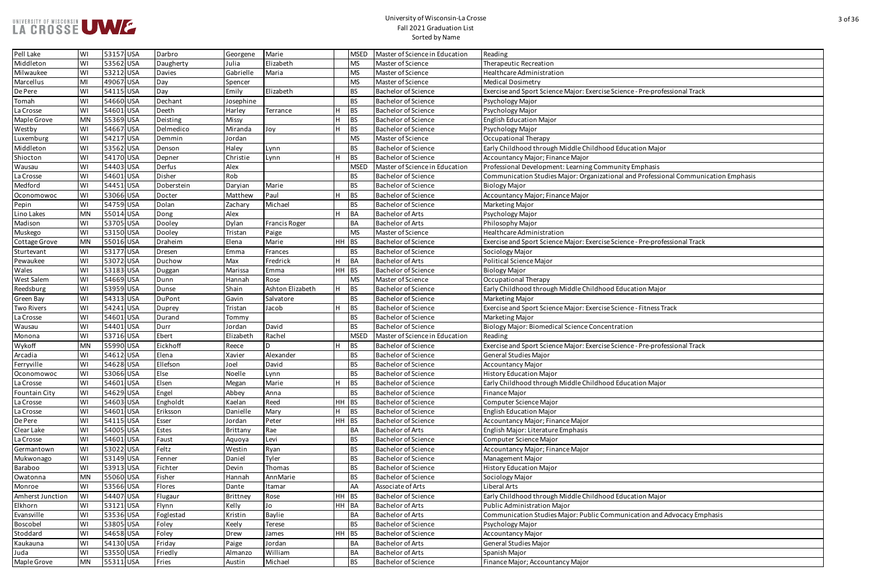

| e Science - Pre-professional Track             |
|------------------------------------------------|
|                                                |
|                                                |
|                                                |
|                                                |
|                                                |
| od Education Major                             |
|                                                |
|                                                |
| nmunity Emphasis                               |
| tional and Professional Communication Emphasis |
|                                                |
|                                                |
|                                                |
|                                                |
|                                                |
|                                                |
| se Science - Pre-professional Track            |
|                                                |
|                                                |
|                                                |
|                                                |
|                                                |
| od Education Major                             |
|                                                |
| e Science - Fitness Track                      |
|                                                |
| entration                                      |
|                                                |
| se Science - Pre-professional Track            |
|                                                |
|                                                |
|                                                |
| od Education Major                             |
|                                                |
|                                                |
|                                                |
|                                                |
|                                                |
|                                                |
|                                                |
|                                                |
|                                                |
|                                                |
|                                                |
|                                                |
| od Education Major                             |
|                                                |
| ommunication and Advocacy Emphasis             |
|                                                |
|                                                |
|                                                |
|                                                |
|                                                |
|                                                |

| Pell Lake            | WI        | 53157 USA | Darbro        | Georgene  | Marie                |              | <b>MSED</b> | Master of Science in Education | Reading                                                                             |
|----------------------|-----------|-----------|---------------|-----------|----------------------|--------------|-------------|--------------------------------|-------------------------------------------------------------------------------------|
| Middleton            | WI        | 53562 USA | Daugherty     | Julia     | Elizabeth            |              | <b>MS</b>   | Master of Science              | <b>Therapeutic Recreation</b>                                                       |
| Milwaukee            | WI        | 53212 USA | Davies        | Gabrielle | Maria                |              | <b>MS</b>   | Master of Science              | Healthcare Administration                                                           |
| Marcellus            | MI        | 49067 USA | Day           | Spencer   |                      |              | <b>MS</b>   | Master of Science              | <b>Medical Dosimetry</b>                                                            |
| De Pere              | WI        | 54115 USA | Day           | Emily     | Elizabeth            |              | <b>BS</b>   | <b>Bachelor of Science</b>     | Exercise and Sport Science Major: Exercise Science - Pre-professional Track         |
| Tomah                | WI        | 54660 USA | Dechant       | Josephine |                      |              | <b>BS</b>   | <b>Bachelor of Science</b>     | Psychology Major                                                                    |
| La Crosse            | WI        | 54601 USA | Deeth         | Harley    | Terrance             |              | <b>BS</b>   | <b>Bachelor of Science</b>     | Psychology Major                                                                    |
| Maple Grove          | <b>MN</b> | 55369 USA | Deisting      | Missy     |                      | Н            | <b>BS</b>   | <b>Bachelor of Science</b>     | <b>English Education Major</b>                                                      |
| Westby               | WI        | 54667 USA | Delmedico     | Miranda   | Joy                  |              | <b>BS</b>   | <b>Bachelor of Science</b>     | Psychology Major                                                                    |
| Luxemburg            | WI        | 54217 USA | Demmin        | Jordan    |                      |              | <b>MS</b>   | Master of Science              | Occupational Therapy                                                                |
| Middleton            | WI        | 53562 USA | Denson        | Haley     | Lynn                 |              | <b>BS</b>   | <b>Bachelor of Science</b>     | Early Childhood through Middle Childhood Education Major                            |
| Shiocton             | WI        | 54170 USA | Depner        | Christie  | Lynn                 |              | <b>BS</b>   | <b>Bachelor of Science</b>     | Accountancy Major; Finance Major                                                    |
| Wausau               | WI        | 54403 USA | Derfus        | Alex      |                      |              | <b>MSED</b> | Master of Science in Education | Professional Development: Learning Community Emphasis                               |
| La Crosse            | WI        | 54601 USA | Disher        | Rob       |                      |              | <b>BS</b>   | <b>Bachelor of Science</b>     | Communication Studies Major: Organizational and Professional Communication Emphasis |
| Medford              | WI        | 54451 USA | Doberstein    | Daryian   | Marie                |              | <b>BS</b>   | <b>Bachelor of Science</b>     | <b>Biology Major</b>                                                                |
| Oconomowoc           | WI        | 53066 USA | Docter        | Matthew   | Paul                 | $\mathsf{H}$ | <b>BS</b>   | <b>Bachelor of Science</b>     | Accountancy Major; Finance Major                                                    |
| Pepin                | WI        | 54759 USA | Dolan         | Zachary   | Michael              |              | <b>BS</b>   | <b>Bachelor of Science</b>     | Marketing Major                                                                     |
| Lino Lakes           | <b>MN</b> | 55014 USA | Dong          | Alex      |                      |              | <b>BA</b>   | <b>Bachelor of Arts</b>        | Psychology Major                                                                    |
| Madison              | WI        | 53705 USA | Dooley        | Dylan     | <b>Francis Roger</b> |              | <b>BA</b>   | <b>Bachelor of Arts</b>        | Philosophy Major                                                                    |
| Muskego              | WI        | 53150 USA | Dooley        | Tristan   | Paige                |              | <b>MS</b>   | Master of Science              | Healthcare Administration                                                           |
| Cottage Grove        | <b>MN</b> | 55016 USA | Draheim       | Elena     | Marie                | $HH$ BS      |             | <b>Bachelor of Science</b>     | Exercise and Sport Science Major: Exercise Science - Pre-professional Track         |
| Sturtevant           | WI        | 53177 USA | Dresen        | Emma      | Frances              |              | <b>BS</b>   | <b>Bachelor of Science</b>     | Sociology Major                                                                     |
| Pewaukee             | WI        | 53072 USA | Duchow        | Max       | Fredrick             | Н            | <b>BA</b>   | <b>Bachelor of Arts</b>        | Political Science Major                                                             |
| Wales                | WI        | 53183 USA | Duggan        | Marissa   | Emma                 | $HH$ BS      |             | <b>Bachelor of Science</b>     | <b>Biology Major</b>                                                                |
| West Salem           | WI        | 54669 USA | Dunn          | Hannah    | Rose                 |              | <b>MS</b>   | Master of Science              | Occupational Therapy                                                                |
| Reedsburg            | WI        | 53959 USA | Dunse         | Shain     | Ashton Elizabeth     |              | <b>BS</b>   | <b>Bachelor of Science</b>     | Early Childhood through Middle Childhood Education Major                            |
| Green Bay            | WI        | 54313 USA | <b>DuPont</b> | Gavin     | Salvatore            |              | <b>BS</b>   | <b>Bachelor of Science</b>     | Marketing Major                                                                     |
| <b>Two Rivers</b>    | WI        | 54241 USA | Duprey        | Tristan   | Jacob                | Н            | <b>BS</b>   | <b>Bachelor of Science</b>     | Exercise and Sport Science Major: Exercise Science - Fitness Track                  |
| La Crosse            | WI        | 54601 USA | Durand        | Tommy     |                      |              | <b>BS</b>   | <b>Bachelor of Science</b>     | Marketing Major                                                                     |
| Wausau               | WI        | 54401 USA | Durr          | Jordan    | David                |              | <b>BS</b>   | <b>Bachelor of Science</b>     | Biology Major: Biomedical Science Concentration                                     |
| Monona               | WI        | 53716 USA | Ebert         | Elizabeth | Rachel               |              | <b>MSED</b> | Master of Science in Education | Reading                                                                             |
| Wykoff               | <b>MN</b> | 55990 USA | Eickhoff      | Reece     | D                    |              | <b>BS</b>   | <b>Bachelor of Science</b>     | Exercise and Sport Science Major: Exercise Science - Pre-professional Track         |
| Arcadia              | WI        | 54612 USA | Elena         | Xavier    | Alexander            |              | <b>BS</b>   | <b>Bachelor of Science</b>     | General Studies Major                                                               |
| Ferryville           | WI        | 54628 USA | Ellefson      | Joel      | David                |              | <b>BS</b>   | <b>Bachelor of Science</b>     | <b>Accountancy Major</b>                                                            |
| Oconomowoc           | WI        | 53066 USA | Else          | Noelle    | Lynn                 |              | <b>BS</b>   | <b>Bachelor of Science</b>     | <b>History Education Major</b>                                                      |
| La Crosse            | WI        | 54601 USA | Elsen         | Megan     | Marie                |              | <b>BS</b>   | <b>Bachelor of Science</b>     | Early Childhood through Middle Childhood Education Major                            |
| <b>Fountain City</b> | WI        | 54629 USA | Engel         | Abbey     | Anna                 |              | <b>BS</b>   | <b>Bachelor of Science</b>     | Finance Major                                                                       |
| La Crosse            | WI        | 54603 USA | Engholdt      | Kaelan    | Reed                 | $HH$ BS      |             | <b>Bachelor of Science</b>     | Computer Science Major                                                              |
| La Crosse            | WI        | 54601 USA | Eriksson      | Danielle  | Mary                 | H            | <b>BS</b>   | <b>Bachelor of Science</b>     | <b>English Education Major</b>                                                      |
| De Pere              | WI        | 54115 USA | Esser         | Jordan    | Peter                | $HH$ BS      |             | <b>Bachelor of Science</b>     | Accountancy Major; Finance Major                                                    |
| Clear Lake           | WI        | 54005 USA | Estes         | Brittany  | Rae                  |              | <b>BA</b>   | <b>Bachelor of Arts</b>        | English Major: Literature Emphasis                                                  |
| La Crosse            | WI        | 54601 USA | Faust         | Aquoya    | Levi                 |              | <b>BS</b>   | <b>Bachelor of Science</b>     | Computer Science Major                                                              |
| Germantown           | WI        | 53022 USA | Feltz         | Westin    | Ryan                 |              | <b>BS</b>   | <b>Bachelor of Science</b>     | Accountancy Major; Finance Major                                                    |
| Mukwonago            | WI        | 53149 USA | Fenner        | Daniel    | Tyler                |              | <b>BS</b>   | <b>Bachelor of Science</b>     | Management Major                                                                    |
| Baraboo              | WI        | 53913 USA | Fichter       | Devin     | Thomas               |              | <b>BS</b>   | <b>Bachelor of Science</b>     | <b>History Education Major</b>                                                      |
| Owatonna             | <b>MN</b> | 55060 USA | Fisher        | Hannah    | AnnMarie             |              | <b>BS</b>   | <b>Bachelor of Science</b>     | Sociology Major                                                                     |
| Monroe               | WI        | 53566 USA | Flores        | Dante     | Itamar               |              | AA          | Associate of Arts              | Liberal Arts                                                                        |
| Amherst Junction     | WI        | 54407 USA | Flugaur       | Brittney  | Rose                 | $HH$ BS      |             | <b>Bachelor of Science</b>     | Early Childhood through Middle Childhood Education Major                            |
| Elkhorn              | WI        | 53121 USA | Flynn         | Kelly     | Jo                   | HH BA        |             | <b>Bachelor of Arts</b>        | <b>Public Administration Major</b>                                                  |
| Evansville           | WI        | 53536 USA | Foglestad     | Kristin   | Baylie               |              | <b>BA</b>   | <b>Bachelor of Arts</b>        | Communication Studies Major: Public Communication and Advocacy Emphasis             |
| Boscobel             | WI        | 53805 USA | Foley         | Keely     | <b>Terese</b>        |              | <b>BS</b>   | <b>Bachelor of Science</b>     | Psychology Major                                                                    |
| Stoddard             | WI        | 54658 USA | Foley         | Drew      | James                | $HH$ BS      |             | <b>Bachelor of Science</b>     | <b>Accountancy Major</b>                                                            |
| Kaukauna             | WI        | 54130 USA | Friday        | Paige     | Jordan               |              | <b>BA</b>   | <b>Bachelor of Arts</b>        | General Studies Major                                                               |
| Juda                 | WI        | 53550 USA | Friedly       | Almanzo   | William              |              | <b>BA</b>   | <b>Bachelor of Arts</b>        | Spanish Major                                                                       |
| Maple Grove          | MN        | 55311 USA | Fries         | Austin    | Michael              |              | <b>BS</b>   | <b>Bachelor of Science</b>     | Finance Major; Accountancy Major                                                    |
|                      |           |           |               |           |                      |              |             |                                |                                                                                     |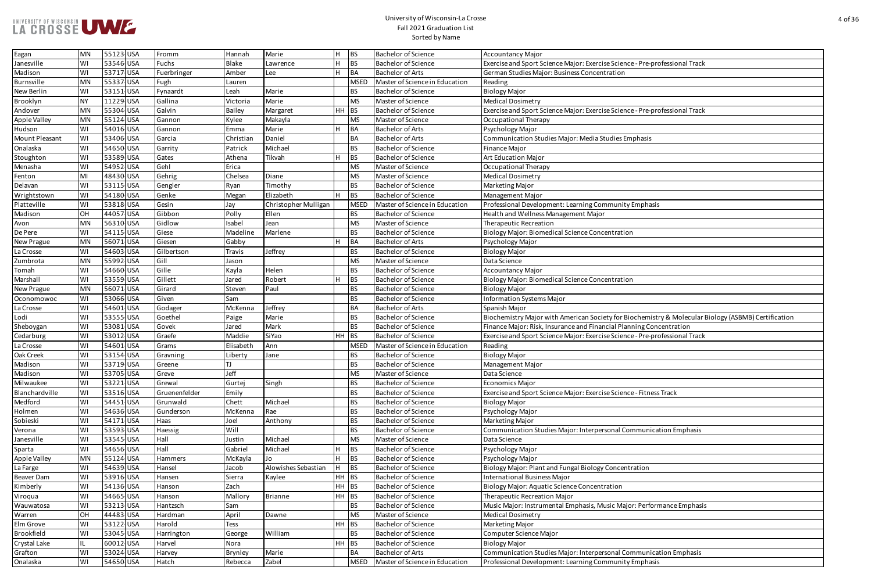

| e Science - Pre-professional Track                            |
|---------------------------------------------------------------|
| ration                                                        |
|                                                               |
|                                                               |
|                                                               |
|                                                               |
| e Science - Pre-professional Track                            |
|                                                               |
|                                                               |
|                                                               |
| udies Emphasis                                                |
|                                                               |
|                                                               |
|                                                               |
|                                                               |
|                                                               |
|                                                               |
|                                                               |
| munity Emphasis                                               |
|                                                               |
|                                                               |
|                                                               |
| entration                                                     |
|                                                               |
|                                                               |
|                                                               |
|                                                               |
|                                                               |
| entration                                                     |
|                                                               |
|                                                               |
|                                                               |
| ty for Biochemistry & Molecular Biology (ASBMB) Certification |
|                                                               |
| cial Planning Concentration                                   |
| e Science - Pre-professional Track                            |
|                                                               |
|                                                               |
|                                                               |
|                                                               |
|                                                               |
|                                                               |
| e Science - Fitness Track                                     |
|                                                               |
|                                                               |
|                                                               |
|                                                               |
| sonal Communication Emphasis                                  |
|                                                               |
|                                                               |
|                                                               |
|                                                               |
| Concentration                                                 |
|                                                               |
| ation                                                         |
|                                                               |
| sic Major: Performance Emphasis                               |
|                                                               |
|                                                               |
|                                                               |
|                                                               |
|                                                               |
|                                                               |
| sonal Communication Emphasis                                  |
| munity Emphasis                                               |

| Eagan                   | <b>MN</b> | 55123 USA | Fromm                | Hannah         | Marie                | H         | <b>BS</b>   | <b>Bachelor of Science</b>     | <b>Accountancy Major</b>                                                                            |
|-------------------------|-----------|-----------|----------------------|----------------|----------------------|-----------|-------------|--------------------------------|-----------------------------------------------------------------------------------------------------|
| Janesville              | WI        | 53546 USA | Fuchs                | <b>Blake</b>   | Lawrence             | H         | BS          | <b>Bachelor of Science</b>     | Exercise and Sport Science Major: Exercise Science - Pre-professional Track                         |
| Madison                 | WI        | 53717 USA | Fuerbringer          | Amber          | Lee                  | H         | <b>BA</b>   | <b>Bachelor of Arts</b>        | German Studies Major: Business Concentration                                                        |
| Burnsville              | <b>MN</b> | 55337 USA | Fugh                 | Lauren         |                      |           | <b>MSED</b> | Master of Science in Education | Reading                                                                                             |
| New Berlin              | WI        | 53151 USA | Fynaardt             | Leah           | Marie                |           | <b>BS</b>   | <b>Bachelor of Science</b>     | <b>Biology Major</b>                                                                                |
| Brooklyn                | <b>NY</b> | 11229 USA | Gallina              | Victoria       | Marie                |           | <b>MS</b>   | Master of Science              | <b>Medical Dosimetry</b>                                                                            |
| Andover                 | <b>MN</b> | 55304 USA | Galvin               | <b>Bailey</b>  | Margaret             | HH BS     |             | <b>Bachelor of Science</b>     | Exercise and Sport Science Major: Exercise Science - Pre-professional Track                         |
| Apple Valley            | <b>MN</b> | 55124 USA | Gannon               | Kylee          | Makayla              |           | <b>MS</b>   | Master of Science              | Occupational Therapy                                                                                |
| Hudson                  | WI        | 54016 USA | Gannon               | Emma           | Marie                | H         | <b>BA</b>   | <b>Bachelor of Arts</b>        | Psychology Major                                                                                    |
| Mount Pleasant          | WI        | 53406 USA | Garcia               | Christian      | Daniel               |           | BA          | <b>Bachelor of Arts</b>        | <b>Communication Studies Major: Media Studies Emphasis</b>                                          |
| Onalaska                | WI        | 54650 USA | Garrity              | Patrick        | Michael              |           | <b>BS</b>   | <b>Bachelor of Science</b>     | Finance Major                                                                                       |
| Stoughton               | WI        | 53589 USA | Gates                | Athena         | Tikvah               | H         | <b>BS</b>   | <b>Bachelor of Science</b>     | Art Education Major                                                                                 |
| Menasha                 | WI        | 54952 USA | Gehl                 | Erica          |                      |           | <b>MS</b>   | Master of Science              | Occupational Therapy                                                                                |
| Fenton                  | MI        | 48430 USA | Gehrig               | Chelsea        | Diane                |           | <b>MS</b>   | Master of Science              | <b>Medical Dosimetry</b>                                                                            |
| Delavan                 | WI        | 53115 USA | Gengler              | Ryan           | Timothy              |           | <b>BS</b>   | <b>Bachelor of Science</b>     | Marketing Major                                                                                     |
| Wrightstown             | WI        | 54180 USA | Genke                | Megan          | Elizabeth            | H         | <b>BS</b>   | <b>Bachelor of Science</b>     | Management Major                                                                                    |
| Platteville             | WI        | 53818 USA | Gesin                | lay            | Christopher Mulligan |           | <b>MSED</b> | Master of Science in Education | Professional Development: Learning Community Emphasis                                               |
| Madison                 | OH        | 44057 USA | Gibbon               | Polly          | Ellen                |           | <b>BS</b>   | <b>Bachelor of Science</b>     | Health and Wellness Management Major                                                                |
| Avon                    | <b>MN</b> | 56310 USA | Gidlow               | Isabel         | Jean                 |           | <b>MS</b>   | Master of Science              | Therapeutic Recreation                                                                              |
| De Pere                 | WI        | 54115 USA | Giese                | Madeline       | Marlene              |           | <b>BS</b>   | <b>Bachelor of Science</b>     | <b>Biology Major: Biomedical Science Concentration</b>                                              |
| New Prague              | <b>MN</b> | 56071 USA | Giesen               | Gabby          |                      | H         | <b>BA</b>   | <b>Bachelor of Arts</b>        | Psychology Major                                                                                    |
| La Crosse               | WI        | 54603 USA | Gilbertson           | Travis         | Jeffrey              |           | <b>BS</b>   | <b>Bachelor of Science</b>     | <b>Biology Major</b>                                                                                |
| Zumbrota                | <b>MN</b> | 55992 USA | Gill                 | Jason          |                      |           | <b>MS</b>   | Master of Science              | Data Science                                                                                        |
| Tomah                   | WI        | 54660 USA | Gille                | Kayla          | Helen                |           | <b>BS</b>   | <b>Bachelor of Science</b>     | <b>Accountancy Major</b>                                                                            |
| Marshall                | WI        | 53559 USA | Gillett              | Jared          | Robert               | H         | <b>BS</b>   | <b>Bachelor of Science</b>     | <b>Biology Major: Biomedical Science Concentration</b>                                              |
| New Prague              | <b>MN</b> | 56071 USA | Girard               | Steven         | Paul                 |           | <b>BS</b>   | <b>Bachelor of Science</b>     | <b>Biology Major</b>                                                                                |
| Oconomowoc              | WI        | 53066 USA | Given                | Sam            |                      |           | <b>BS</b>   | <b>Bachelor of Science</b>     | <b>Information Systems Major</b>                                                                    |
| La Crosse               | WI        | 54601 USA | Godager              | McKenna        | Jeffrey              |           | <b>BA</b>   | <b>Bachelor of Arts</b>        | Spanish Major                                                                                       |
| Lodi                    | WI        | 53555 USA | Goethel              | Paige          | Marie                |           | <b>BS</b>   | <b>Bachelor of Science</b>     | Biochemistry Major with American Society for Biochemistry & Molecular Biology (ASBMB) Certification |
| Sheboygan               | WI        | 53081 USA | Govek                | Jared          | Mark                 |           | <b>BS</b>   | <b>Bachelor of Science</b>     | Finance Major: Risk, Insurance and Financial Planning Concentration                                 |
| Cedarburg               | WI        | 53012 USA | Graefe               | Maddie         | SiYao                | <b>HH</b> | <b>BS</b>   | <b>Bachelor of Science</b>     | Exercise and Sport Science Major: Exercise Science - Pre-professional Track                         |
| La Crosse               | WI        | 54601 USA | Grams                | Elisabeth      | Ann                  |           | <b>MSED</b> | Master of Science in Education | Reading                                                                                             |
| Oak Creek               | WI        | 53154 USA | Gravning             | Liberty        | Jane                 |           | <b>BS</b>   | <b>Bachelor of Science</b>     | <b>Biology Major</b>                                                                                |
| Madison                 | WI        | 53719 USA | Greene               |                |                      |           | <b>BS</b>   | <b>Bachelor of Science</b>     | Management Major                                                                                    |
| Madison                 | WI        | 53705 USA | Greve                | Jeff           |                      |           | <b>MS</b>   | Master of Science              | Data Science                                                                                        |
| Milwaukee               | WI        | 53221 USA | Grewal               | Gurtej         | Singh                |           | <b>BS</b>   | <b>Bachelor of Science</b>     | <b>Economics Major</b>                                                                              |
| Blanchardville          | WI        | 53516 USA | Gruenenfelder        | Emily          |                      |           | <b>BS</b>   | <b>Bachelor of Science</b>     | Exercise and Sport Science Major: Exercise Science - Fitness Track                                  |
| Medford                 | WI        | 54451 USA | Grunwald             | Chett          | Michael              |           | <b>BS</b>   | <b>Bachelor of Science</b>     | <b>Biology Major</b>                                                                                |
| Holmen                  | WI        | 54636 USA | Gunderson            | McKenna        | Rae                  |           | <b>BS</b>   | <b>Bachelor of Science</b>     | Psychology Major                                                                                    |
| Sobieski                | WI        | 54171 USA | Haas                 | Joel           | Anthony              |           | <b>BS</b>   | <b>Bachelor of Science</b>     | Marketing Major                                                                                     |
| Verona                  | WI        | 53593 USA | Haessig              | Will           |                      |           | <b>BS</b>   | <b>Bachelor of Science</b>     | Communication Studies Major: Interpersonal Communication Emphasis                                   |
| Janesville              | WI        | 53545 USA | Hall                 | Justin         | Michael              |           | <b>MS</b>   | Master of Science              | Data Science                                                                                        |
| Sparta                  | WI        | 54656 USA | Hall                 | Gabriel        | Michael              | H         | <b>BS</b>   | <b>Bachelor of Science</b>     | Psychology Major                                                                                    |
| Apple Valley            | <b>MN</b> | 55124 USA | Hammers              | McKayla        | Jo                   | H         | <b>BS</b>   | <b>Bachelor of Science</b>     | Psychology Major                                                                                    |
| La Farge                | WI        | 54639 USA | Hansel               | Jacob          | Alowishes Sebastian  | H         | <b>BS</b>   | <b>Bachelor of Science</b>     | Biology Major: Plant and Fungal Biology Concentration                                               |
| Beaver Dam              | WI        | 53916 USA | Hansen               | Sierra         | Kaylee               | HH BS     |             | <b>Bachelor of Science</b>     | International Business Major                                                                        |
| Kimberly                | WI        | 54136 USA | Hanson               | Zach           |                      | HH BS     |             | <b>Bachelor of Science</b>     | Biology Major: Aquatic Science Concentration                                                        |
| Viroqua                 | WI        | 54665 USA | Hanson               | Mallory        | <b>Brianne</b>       | HH BS     |             | <b>Bachelor of Science</b>     | Therapeutic Recreation Major                                                                        |
| Wauwatosa               | WI        | 53213 USA | Hantzsch             | Sam            |                      |           | <b>BS</b>   | <b>Bachelor of Science</b>     | Music Major: Instrumental Emphasis, Music Major: Performance Emphasis                               |
|                         | OH        | 44483 USA | Hardman              |                |                      |           |             | Master of Science              |                                                                                                     |
| Warren                  | WI        | 53122 USA |                      | April          | Dawne                | HH BS     | <b>MS</b>   | <b>Bachelor of Science</b>     | <b>Medical Dosimetry</b>                                                                            |
| Elm Grove<br>Brookfield | WI        | 53045 USA | Harold               | <b>Tess</b>    | William              |           | <b>BS</b>   | <b>Bachelor of Science</b>     | Marketing Major                                                                                     |
|                         | IL        | 60012 USA | Harrington<br>Harvel | George<br>Nora |                      | HH BS     |             | <b>Bachelor of Science</b>     | Computer Science Major                                                                              |
| Crystal Lake            |           |           |                      |                |                      |           |             |                                | <b>Biology Major</b>                                                                                |
| Grafton                 | WI        | 53024 USA | Harvey               | <b>Brynley</b> | Marie                |           | <b>BA</b>   | <b>Bachelor of Arts</b>        | Communication Studies Major: Interpersonal Communication Emphasis                                   |
| Onalaska                | WI        | 54650 USA | Hatch                | Rebecca        | Zabel                |           | <b>MSED</b> | Master of Science in Education | Professional Development: Learning Community Emphasis                                               |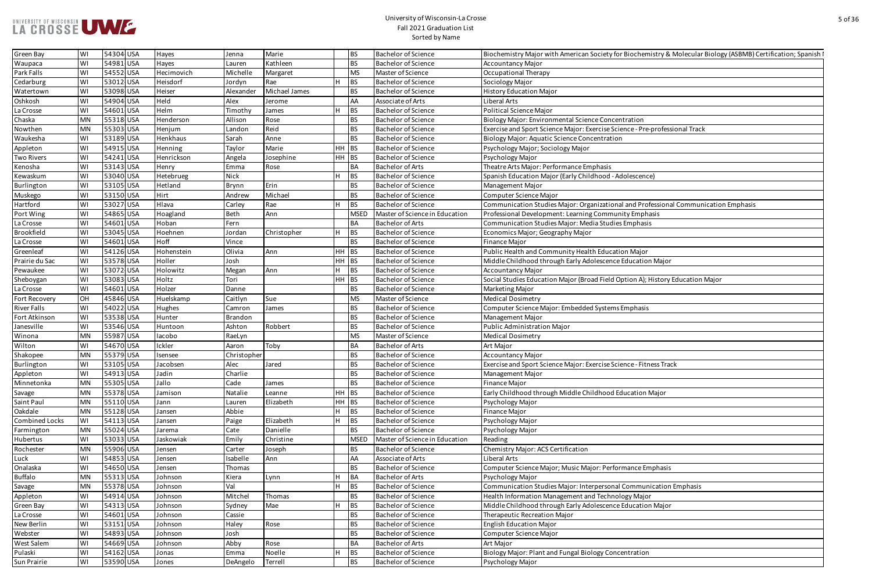

| ety for Biochemistry & Molecular Biology (ASBMB) Certification; Spanish |
|-------------------------------------------------------------------------|
|                                                                         |
|                                                                         |
|                                                                         |
|                                                                         |
|                                                                         |
|                                                                         |
| oncentration                                                            |
| se Science - Pre-professional Track<br>ration                           |
|                                                                         |
|                                                                         |
| sis                                                                     |
| od - Adolescence)                                                       |
|                                                                         |
|                                                                         |
| ational and Professional Communication Emphasis                         |
| nmunity Emphasis                                                        |
| tudies Emphasis                                                         |
|                                                                         |
|                                                                         |
| lucation Major                                                          |
| cence Education Major                                                   |
|                                                                         |
| ield Option A); History Education Major                                 |
|                                                                         |
|                                                                         |
| tems Emphasis                                                           |
|                                                                         |
|                                                                         |
|                                                                         |
|                                                                         |
|                                                                         |
| se Science - Fitness Track                                              |
|                                                                         |
| ood Education Major                                                     |
|                                                                         |
|                                                                         |
|                                                                         |
|                                                                         |
|                                                                         |
|                                                                         |
|                                                                         |
| Performance Emphasis                                                    |
|                                                                         |
| sonal Communication Emphasis                                            |
| chnology Major                                                          |
| cence Education Major                                                   |
|                                                                         |
|                                                                         |
|                                                                         |
|                                                                         |
| Concentration                                                           |
|                                                                         |

| Green Bay               | WI        | 54304 USA | Hayes       | Jenna          | Marie         | <b>BS</b>      | <b>Bachelor of Science</b>     | Biochemistry Major with American Society for Biochemistry & Molecular Biology (ASBMB) Certification; Spanish I |
|-------------------------|-----------|-----------|-------------|----------------|---------------|----------------|--------------------------------|----------------------------------------------------------------------------------------------------------------|
| Waupaca                 | WI        | 54981 USA | Hayes       | Lauren         | Kathleen      | <b>BS</b>      | <b>Bachelor of Science</b>     | <b>Accountancy Major</b>                                                                                       |
| Park Falls              | WI        | 54552 USA | Hecimovich  | Michelle       | Margaret      | <b>MS</b>      | Master of Science              | <b>Occupational Therapy</b>                                                                                    |
| Cedarburg               | WI        | 53012 USA | Heisdorf    | Jordyn         | Rae           | <b>BS</b>      | <b>Bachelor of Science</b>     | Sociology Major                                                                                                |
| Watertown               | WI        | 53098 USA | Heiser      | Alexander      | Michael James | <b>BS</b>      | <b>Bachelor of Science</b>     | <b>History Education Major</b>                                                                                 |
| Oshkosh                 | WI        | 54904 USA | Held        | Alex           | Jerome        | <b>AA</b>      | Associate of Arts              | Liberal Arts                                                                                                   |
| La Crosse               | WI        | 54601 USA | Helm        | Timothy        | James         | <b>BS</b>      | <b>Bachelor of Science</b>     | <b>Political Science Major</b>                                                                                 |
| Chaska                  | <b>MN</b> | 55318 USA | Henderson   | Allison        | Rose          | <b>BS</b>      | <b>Bachelor of Science</b>     | Biology Major: Environmental Science Concentration                                                             |
| Nowthen                 | <b>MN</b> | 55303 USA | Henjum      | Landon         | Reid          | <b>BS</b>      | <b>Bachelor of Science</b>     | Exercise and Sport Science Major: Exercise Science - Pre-professional Track                                    |
| Waukesha                | WI        | 53189 USA | Henkhaus    | Sarah          | Anne          | <b>BS</b>      | <b>Bachelor of Science</b>     | Biology Major: Aquatic Science Concentration                                                                   |
| Appleton                | WI        | 54915 USA | Henning     | Taylor         | Marie         | $HH$ BS        | <b>Bachelor of Science</b>     | Psychology Major; Sociology Major                                                                              |
| <b>Two Rivers</b>       | WI        | 54241 USA | Henrickson  | Angela         | Josephine     | HH BS          | <b>Bachelor of Science</b>     | Psychology Major                                                                                               |
| Kenosha                 | WI        | 53143 USA | Henry       | Emma           | Rose          | BA             | <b>Bachelor of Arts</b>        | Theatre Arts Major: Performance Emphasis                                                                       |
| Kewaskum                | WI        | 53040 USA | Hetebrueg   | <b>Nick</b>    |               | <b>BS</b><br>H | <b>Bachelor of Science</b>     | Spanish Education Major (Early Childhood - Adolescence)                                                        |
| Burlington              | WI        | 53105 USA | Hetland     | Brynn          | Erin          | <b>BS</b>      | <b>Bachelor of Science</b>     | Management Major                                                                                               |
| Muskego                 | WI        | 53150 USA | <b>Hirt</b> | Andrew         | Michael       | <b>BS</b>      | <b>Bachelor of Science</b>     | Computer Science Major                                                                                         |
| Hartford                | WI        | 53027 USA | Hlava       | Carley         | Rae           | <b>BS</b><br>H | <b>Bachelor of Science</b>     | Communication Studies Major: Organizational and Professional Communication Emphasis                            |
| Port Wing               | WI        | 54865 USA | Hoagland    | <b>Beth</b>    | Ann           | <b>MSED</b>    | Master of Science in Education | Professional Development: Learning Community Emphasis                                                          |
|                         | WI        | 54601 USA | Hoban       |                |               | <b>BA</b>      | <b>Bachelor of Arts</b>        | Communication Studies Major: Media Studies Emphasis                                                            |
| La Crosse<br>Brookfield | WI        | 53045 USA | Hoehnen     | Fern<br>Jordan | Christopher   | н<br><b>BS</b> | <b>Bachelor of Science</b>     | Economics Major; Geography Major                                                                               |
|                         |           |           |             |                |               |                |                                |                                                                                                                |
| La Crosse               | WI        | 54601 USA | Hoff        | Vince          |               | <b>BS</b>      | <b>Bachelor of Science</b>     | <b>Finance Major</b>                                                                                           |
| Greenleaf               | WI        | 54126 USA | Hohenstein  | Olivia         | Ann           | HH BS          | <b>Bachelor of Science</b>     | Public Health and Community Health Education Major                                                             |
| Prairie du Sac          | WI        | 53578 USA | Holler      | Josh           |               | $HH$ BS        | <b>Bachelor of Science</b>     | Middle Childhood through Early Adolescence Education Major                                                     |
| Pewaukee                | WI        | 53072 USA | Holowitz    | Megan          | Ann           | H<br><b>BS</b> | <b>Bachelor of Science</b>     | <b>Accountancy Major</b>                                                                                       |
| Sheboygan               | WI        | 53083 USA | Holtz       | Tori           |               | $HH$ BS        | <b>Bachelor of Science</b>     | Social Studies Education Major (Broad Field Option A); History Education Major                                 |
| La Crosse               | WI        | 54601 USA | Holzer      | Danne          |               | <b>BS</b>      | <b>Bachelor of Science</b>     | Marketing Major                                                                                                |
| Fort Recovery           | OH        | 45846 USA | Huelskamp   | Caitlyn        | Sue           | <b>MS</b>      | Master of Science              | <b>Medical Dosimetry</b>                                                                                       |
| <b>River Falls</b>      | WI        | 54022 USA | Hughes      | Camron         | James         | <b>BS</b>      | <b>Bachelor of Science</b>     | Computer Science Major: Embedded Systems Emphasis                                                              |
| Fort Atkinson           | WI        | 53538 USA | Hunter      | Brandon        |               | <b>BS</b>      | <b>Bachelor of Science</b>     | Management Major                                                                                               |
| Janesville              | WI        | 53546 USA | Huntoon     | Ashton         | Robbert       | <b>BS</b>      | <b>Bachelor of Science</b>     | <b>Public Administration Major</b>                                                                             |
| Winona                  | <b>MN</b> | 55987 USA | lacobo      | RaeLyn         |               | <b>MS</b>      | Master of Science              | <b>Medical Dosimetry</b>                                                                                       |
| Wilton                  | WI        | 54670 USA | Ickler      | Aaron          | Toby          | BA             | <b>Bachelor of Arts</b>        | Art Major                                                                                                      |
| Shakopee                | <b>MN</b> | 55379 USA | Isensee     | Christopher    |               | <b>BS</b>      | <b>Bachelor of Science</b>     | <b>Accountancy Major</b>                                                                                       |
| Burlington              | WI        | 53105 USA | Jacobsen    | Alec           | Jared         | <b>BS</b>      | <b>Bachelor of Science</b>     | Exercise and Sport Science Major: Exercise Science - Fitness Track                                             |
| Appleton                | WI        | 54913 USA | Jadin       | Charlie        |               | <b>BS</b>      | <b>Bachelor of Science</b>     | Management Major                                                                                               |
| Minnetonka              | <b>MN</b> | 55305 USA | Jallo       | Cade           | James         | <b>BS</b>      | <b>Bachelor of Science</b>     | Finance Major                                                                                                  |
| Savage                  | <b>MN</b> | 55378 USA | Jamison     | Natalie        | Leanne        | HH BS          | <b>Bachelor of Science</b>     | Early Childhood through Middle Childhood Education Major                                                       |
| Saint Paul              | <b>MN</b> | 55110 USA | Jann        | Lauren         | Elizabeth     | HH BS          | <b>Bachelor of Science</b>     | Psychology Major                                                                                               |
| Oakdale                 | <b>MN</b> | 55128 USA | Jansen      | Abbie          |               | H<br><b>BS</b> | <b>Bachelor of Science</b>     | <b>Finance Major</b>                                                                                           |
| <b>Combined Locks</b>   | WI        | 54113 USA | Jansen      | Paige          | Elizabeth     | <b>BS</b><br>н | <b>Bachelor of Science</b>     | Psychology Major                                                                                               |
| Farmington              | <b>MN</b> | 55024 USA | Jarema      | Cate           | Danielle      | <b>BS</b>      | <b>Bachelor of Science</b>     | Psychology Major                                                                                               |
| Hubertus                | WI        | 53033 USA | Jaskowiak   | Emily          | Christine     | <b>MSED</b>    | Master of Science in Education | Reading                                                                                                        |
| Rochester               | <b>MN</b> | 55906 USA | Jensen      | Carter         | Joseph        | <b>BS</b>      | <b>Bachelor of Science</b>     | Chemistry Major: ACS Certification                                                                             |
| Luck                    | WI        | 54853 USA | Jensen      | Isabelle       | Ann           | AA             | Associate of Arts              | Liberal Arts                                                                                                   |
| Onalaska                | WI        | 54650 USA | Jensen      | Thomas         |               | <b>BS</b>      | <b>Bachelor of Science</b>     | Computer Science Major; Music Major: Performance Emphasis                                                      |
| Buffalo                 | <b>MN</b> | 55313 USA | Johnson     | Kiera          | Lynn          | BA             | <b>Bachelor of Arts</b>        | Psychology Major                                                                                               |
| Savage                  | <b>MN</b> | 55378 USA | Johnson     | Val            |               | H<br>BS        | <b>Bachelor of Science</b>     | Communication Studies Major: Interpersonal Communication Emphasis                                              |
| Appleton                | WI        | 54914 USA | Johnson     | Mitchel        | Thomas        | <b>BS</b>      | <b>Bachelor of Science</b>     | Health Information Management and Technology Major                                                             |
| Green Bay               | WI        | 54313 USA | Johnson     | Sydney         | Mae           | <b>BS</b><br>H | <b>Bachelor of Science</b>     | Middle Childhood through Early Adolescence Education Major                                                     |
| La Crosse               | WI        | 54601 USA | Johnson     | Cassie         |               | <b>BS</b>      | <b>Bachelor of Science</b>     | Therapeutic Recreation Major                                                                                   |
| New Berlin              | WI        | 53151 USA | Johnson     | Haley          | Rose          | <b>BS</b>      | <b>Bachelor of Science</b>     | <b>English Education Major</b>                                                                                 |
| Webster                 | WI        | 54893 USA | Johnson     | Josh           |               | <b>BS</b>      | <b>Bachelor of Science</b>     | Computer Science Major                                                                                         |
| West Salem              | WI        | 54669 USA | Johnson     | Abby           | Rose          | <b>BA</b>      | <b>Bachelor of Arts</b>        | Art Major                                                                                                      |
|                         |           | 54162 USA |             |                | Noelle        | H              |                                |                                                                                                                |
| Pulaski                 | WI        |           | Jonas       | Emma           |               | BS             | <b>Bachelor of Science</b>     | Biology Major: Plant and Fungal Biology Concentration                                                          |
| Sun Prairie             | WI        | 53590 USA | Jones       | DeAngelo       | Terrell       | <b>BS</b>      | <b>Bachelor of Science</b>     | Psychology Major                                                                                               |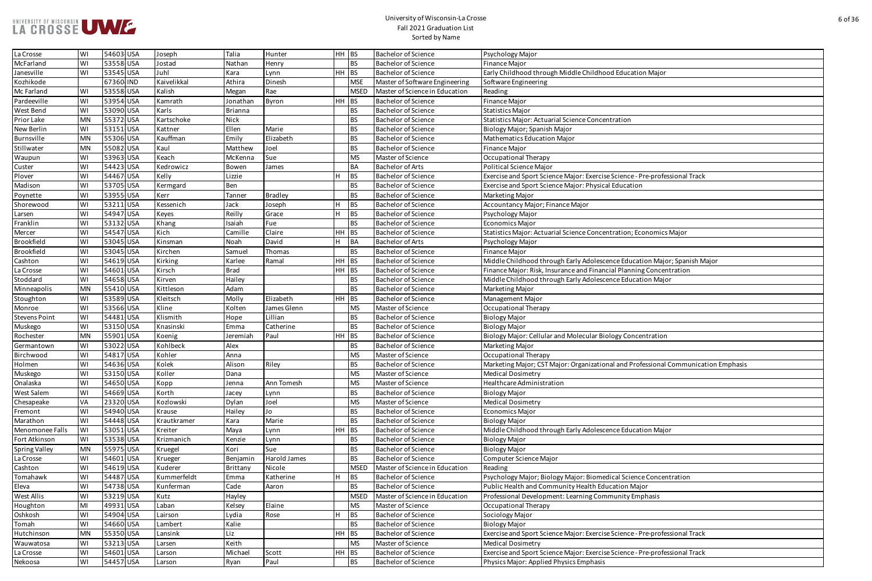

| od Education Major                          |
|---------------------------------------------|
|                                             |
|                                             |
|                                             |
|                                             |
| ntration                                    |
|                                             |
|                                             |
|                                             |
|                                             |
|                                             |
|                                             |
| e Science - Pre-professional Track          |
| al Education                                |
|                                             |
|                                             |
|                                             |
|                                             |
|                                             |
| ntration; Economics Major                   |
|                                             |
|                                             |
| ence Education Major; Spanish Major         |
|                                             |
| cial Planning Concentration                 |
| ence Education Major                        |
|                                             |
|                                             |
|                                             |
|                                             |
|                                             |
| ology Concentration                         |
|                                             |
|                                             |
|                                             |
| nal and Professional Communication Emphasis |
|                                             |
|                                             |
|                                             |
|                                             |
|                                             |
|                                             |
|                                             |
| ence Education Major                        |
|                                             |
|                                             |
|                                             |
|                                             |
| dical Science Concentration                 |
| ucation Major                               |
|                                             |
| nmunity Emphasis                            |
|                                             |
|                                             |
|                                             |
| e Science - Pre-professional Track          |
|                                             |
| e Science - Pre-professional Track          |
|                                             |
|                                             |

| La Crosse            | WI        | 54603 USA | Joseph      | Talia          | Hunter         | HH BS     |             | <b>Bachelor of Science</b>     | Psychology Major                                                                   |
|----------------------|-----------|-----------|-------------|----------------|----------------|-----------|-------------|--------------------------------|------------------------------------------------------------------------------------|
| McFarland            | WI        | 53558 USA | Jostad      | Nathan         | Henry          |           | <b>BS</b>   | <b>Bachelor of Science</b>     | <b>Finance Major</b>                                                               |
| Janesville           | WI        | 53545 USA | Juhl        | Kara           | Lynn           | HH BS     |             | <b>Bachelor of Science</b>     | Early Childhood through Middle Childhood Education Major                           |
| Kozhikode            |           | 67360 IND | Kaivelikkal | Athira         | Dinesh         |           | <b>MSE</b>  | Master of Software Engineering | Software Engineering                                                               |
| Mc Farland           | WI        | 53558 USA | Kalish      | Megan          | Rae            |           | <b>MSED</b> | Master of Science in Education | Reading                                                                            |
| Pardeeville          | WI        | 53954 USA | Kamrath     | Jonathan       | Byron          | HH BS     |             | <b>Bachelor of Science</b>     | Finance Major                                                                      |
| West Bend            | WI        | 53090 USA | Karls       | <b>Brianna</b> |                |           | <b>BS</b>   | <b>Bachelor of Science</b>     | <b>Statistics Major</b>                                                            |
| Prior Lake           | <b>MN</b> | 55372 USA | Kartschoke  | Nick           |                |           | <b>BS</b>   | <b>Bachelor of Science</b>     | <b>Statistics Major: Actuarial Science Concentration</b>                           |
| New Berlin           | WI        | 53151 USA | Kattner     | Ellen          | Marie          |           | <b>BS</b>   | <b>Bachelor of Science</b>     | Biology Major; Spanish Major                                                       |
| Burnsville           | <b>MN</b> | 55306 USA | Kauffman    | Emily          | Elizabeth      |           | <b>BS</b>   | <b>Bachelor of Science</b>     | Mathematics Education Major                                                        |
| Stillwater           | <b>MN</b> | 55082 USA | Kaul        | Matthew        | Joel           |           | <b>BS</b>   | <b>Bachelor of Science</b>     | Finance Major                                                                      |
| Waupun               | WI        | 53963 USA | Keach       | McKenna        | Sue            |           | <b>MS</b>   | Master of Science              | Occupational Therapy                                                               |
| Custer               | WI        | 54423 USA | Kedrowicz   | Bowen          | James          |           | <b>BA</b>   | <b>Bachelor of Arts</b>        | <b>Political Science Major</b>                                                     |
| Plover               | WI        | 54467 USA | Kelly       | Lizzie         |                |           | <b>BS</b>   | <b>Bachelor of Science</b>     | Exercise and Sport Science Major: Exercise Science - Pre-professional Track        |
| Madison              | WI        | 53705 USA | Kermgard    | Ben            |                |           | <b>BS</b>   | <b>Bachelor of Science</b>     | Exercise and Sport Science Major: Physical Education                               |
| Poynette             | WI        | 53955 USA | Kerr        | Tanner         | <b>Bradley</b> |           | <b>BS</b>   | <b>Bachelor of Science</b>     | Marketing Major                                                                    |
| Shorewood            | WI        | 53211 USA | Kessenich   | Jack           | Joseph         |           | <b>BS</b>   | <b>Bachelor of Science</b>     | Accountancy Major; Finance Major                                                   |
|                      | WI        | 54947 USA |             | Reilly         | Grace          |           | <b>BS</b>   | <b>Bachelor of Science</b>     |                                                                                    |
| Larsen               |           |           | Keyes       |                |                |           |             |                                | Psychology Major                                                                   |
| Franklin             | WI        | 53132 USA | Khang       | Isaiah         | Fue            |           | <b>BS</b>   | <b>Bachelor of Science</b>     | <b>Economics Major</b>                                                             |
| Mercer               | WI        | 54547 USA | Kich        | Camille        | Claire         | <b>HH</b> | BS          | <b>Bachelor of Science</b>     | Statistics Major: Actuarial Science Concentration; Economics Major                 |
| Brookfield           | WI        | 53045 USA | Kinsman     | Noah           | David          | H.        | <b>BA</b>   | <b>Bachelor of Arts</b>        | Psychology Major                                                                   |
| Brookfield           | WI        | 53045 USA | Kirchen     | Samuel         | Thomas         |           | <b>BS</b>   | <b>Bachelor of Science</b>     | Finance Major                                                                      |
| Cashton              | WI        | 54619 USA | Kirking     | Karlee         | Ramal          | $HH$ BS   |             | <b>Bachelor of Science</b>     | Middle Childhood through Early Adolescence Education Major; Spanish Major          |
| La Crosse            | WI        | 54601 USA | Kirsch      | <b>Brad</b>    |                | HH BS     |             | <b>Bachelor of Science</b>     | Finance Major: Risk, Insurance and Financial Planning Concentration                |
| Stoddard             | WI        | 54658 USA | Kirven      | Hailey         |                |           | <b>BS</b>   | <b>Bachelor of Science</b>     | Middle Childhood through Early Adolescence Education Major                         |
| Minneapolis          | <b>MN</b> | 55410 USA | Kittleson   | Adam           |                |           | <b>BS</b>   | <b>Bachelor of Science</b>     | Marketing Major                                                                    |
| Stoughton            | WI        | 53589 USA | Kleitsch    | Molly          | Elizabeth      | HH BS     |             | <b>Bachelor of Science</b>     | Management Major                                                                   |
| Monroe               | WI        | 53566 USA | Kline       | Kolten         | James Glenn    |           | <b>MS</b>   | Master of Science              | Occupational Therapy                                                               |
| <b>Stevens Point</b> | WI        | 54481 USA | Klismith    | Hope           | Lillian        |           | <b>BS</b>   | <b>Bachelor of Science</b>     | <b>Biology Major</b>                                                               |
| Muskego              | WI        | 53150 USA | Knasinski   | Emma           | Catherine      |           | <b>BS</b>   | <b>Bachelor of Science</b>     | <b>Biology Major</b>                                                               |
| Rochester            | <b>MN</b> | 55901 USA | Koenig      | Jeremiah       | Paul           | $HH$ BS   |             | <b>Bachelor of Science</b>     | Biology Major: Cellular and Molecular Biology Concentration                        |
| Germantown           | WI        | 53022 USA | Kohlbeck    | Alex           |                |           | <b>BS</b>   | <b>Bachelor of Science</b>     | Marketing Major                                                                    |
| Birchwood            | WI        | 54817 USA | Kohler      | Anna           |                |           | <b>MS</b>   | Master of Science              | Occupational Therapy                                                               |
| Holmen               | WI        | 54636 USA | Kolek       | Alison         | Riley          |           | <b>BS</b>   | <b>Bachelor of Science</b>     | Marketing Major; CST Major: Organizational and Professional Communication Emphasis |
| Muskego              | WI        | 53150 USA | Koller      | Dana           |                |           | <b>MS</b>   | Master of Science              | <b>Medical Dosimetry</b>                                                           |
| Onalaska             | WI        | 54650 USA | Kopp        | Jenna          | Ann Tomesh     |           | <b>MS</b>   | Master of Science              | Healthcare Administration                                                          |
| West Salem           | WI        | 54669 USA | Korth       | Jacey          | Lynn           |           | <b>BS</b>   | <b>Bachelor of Science</b>     | <b>Biology Major</b>                                                               |
| Chesapeake           | <b>VA</b> | 23320 USA | Kozlowski   | Dylan          | Joel           |           | <b>MS</b>   | Master of Science              | <b>Medical Dosimetry</b>                                                           |
| Fremont              | WI        | 54940 USA | Krause      | Hailey         | Jo             |           | <b>BS</b>   | <b>Bachelor of Science</b>     | <b>Economics Major</b>                                                             |
| Marathon             | WI        | 54448 USA | Krautkramer | Kara           | Marie          |           | <b>BS</b>   | <b>Bachelor of Science</b>     | <b>Biology Major</b>                                                               |
| Menomonee Falls      | WI        | 53051 USA | Kreiter     | Maya           | Lynn           | $HH$ BS   |             | <b>Bachelor of Science</b>     | Middle Childhood through Early Adolescence Education Major                         |
| Fort Atkinson        | WI        | 53538 USA | Krizmanich  | Kenzie         | Lynn           |           | <b>BS</b>   | <b>Bachelor of Science</b>     | <b>Biology Major</b>                                                               |
| <b>Spring Valley</b> | <b>MN</b> | 55975 USA | Kruegel     | Kori           | Sue            |           | <b>BS</b>   | <b>Bachelor of Science</b>     | <b>Biology Major</b>                                                               |
| La Crosse            | WI        | 54601 USA | Krueger     | Benjamin       | Harold James   |           | <b>BS</b>   | <b>Bachelor of Science</b>     | Computer Science Major                                                             |
| Cashton              | WI        | 54619 USA | Kuderer     | Brittany       | Nicole         |           | <b>MSED</b> | Master of Science in Education | Reading                                                                            |
| Tomahawk             | WI        | 54487 USA | Kummerfeldt | Emma           | Katherine      |           | <b>BS</b>   | <b>Bachelor of Science</b>     | Psychology Major; Biology Major: Biomedical Science Concentration                  |
| Eleva                | WI        | 54738 USA | Kunferman   | Cade           | Aaron          |           | <b>BS</b>   | <b>Bachelor of Science</b>     | Public Health and Community Health Education Major                                 |
| West Allis           | WI        | 53219 USA | Kutz        | Hayley         |                |           | <b>MSED</b> | Master of Science in Education | Professional Development: Learning Community Emphasis                              |
|                      | MI        | 49931 USA | Laban       |                | Elaine         |           | <b>MS</b>   | Master of Science              |                                                                                    |
| Houghton<br>Oshkosh  | WI        | 54904 USA | Lairson     | Kelsey         | Rose           |           | <b>BS</b>   | <b>Bachelor of Science</b>     | Occupational Therapy                                                               |
|                      |           |           |             | Lydia          |                |           |             |                                | Sociology Major                                                                    |
| Tomah                | WI        | 54660 USA | Lambert     | Kalie          |                |           | <b>BS</b>   | <b>Bachelor of Science</b>     | <b>Biology Major</b>                                                               |
| Hutchinson           | <b>MN</b> | 55350 USA | Lansink     | Liz            |                | HH BS     |             | <b>Bachelor of Science</b>     | Exercise and Sport Science Major: Exercise Science - Pre-professional Track        |
| Wauwatosa            | WI        | 53213 USA | Larsen      | Keith          |                |           | <b>MS</b>   | Master of Science              | <b>Medical Dosimetry</b>                                                           |
| La Crosse            | WI        | 54601 USA | Larson      | Michael        | Scott          | HH BS     |             | <b>Bachelor of Science</b>     | Exercise and Sport Science Major: Exercise Science - Pre-professional Track        |
| Nekoosa              | WI        | 54457 USA | Larson      | Ryan           | Paul           |           | <b>BS</b>   | <b>Bachelor of Science</b>     | Physics Major: Applied Physics Emphasis                                            |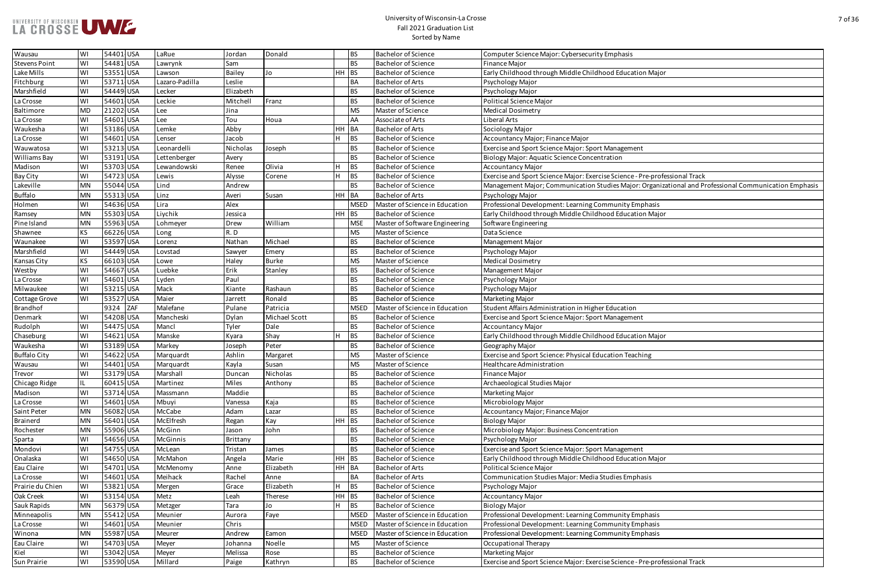| Emphasis                                                            |
|---------------------------------------------------------------------|
| ood Education Major                                                 |
|                                                                     |
|                                                                     |
|                                                                     |
|                                                                     |
|                                                                     |
|                                                                     |
|                                                                     |
| Management                                                          |
| ration                                                              |
| se Science - Pre-professional Track                                 |
| udies Major: Organizational and Professional Communication Emphasis |
|                                                                     |
| nmunity Emphasis                                                    |
| Dod Education Major                                                 |
|                                                                     |
|                                                                     |
|                                                                     |
|                                                                     |
|                                                                     |
|                                                                     |
|                                                                     |
|                                                                     |
| Education                                                           |
| Management                                                          |
|                                                                     |
| ood Education Major                                                 |
|                                                                     |
| cation Teaching                                                     |
|                                                                     |
|                                                                     |
|                                                                     |
|                                                                     |
|                                                                     |
|                                                                     |
| ation                                                               |
|                                                                     |
| Management                                                          |
| <b>Dod Education Major</b>                                          |
|                                                                     |
| tudies Emphasis                                                     |
|                                                                     |
|                                                                     |
| nmunity Emphasis                                                    |
| nmunity Emphasis                                                    |
| nmunity Emphasis                                                    |
|                                                                     |
|                                                                     |
| se Science - Pre-professional Track                                 |

| Wausau               | WI        | 54401 USA          | LaRue          | Jordan        | Donald               |         | <b>BS</b>   | <b>Bachelor of Science</b>     | Computer Science Major: Cybersecurity Emphasis                                                        |
|----------------------|-----------|--------------------|----------------|---------------|----------------------|---------|-------------|--------------------------------|-------------------------------------------------------------------------------------------------------|
| <b>Stevens Point</b> | WI        | 54481 USA          | Lawrynk        | Sam           |                      |         | <b>BS</b>   | <b>Bachelor of Science</b>     | Finance Major                                                                                         |
| Lake Mills           | WI        | 53551 USA          | Lawson         | <b>Bailey</b> | Jo                   | HH      | BS          | <b>Bachelor of Science</b>     | Early Childhood through Middle Childhood Education Major                                              |
| Fitchburg            | WI        | 53711 USA          | Lazaro-Padilla | Leslie        |                      |         | BA          | <b>Bachelor of Arts</b>        | Psychology Major                                                                                      |
| Marshfield           | WI        | 54449 USA          | Lecker         | Elizabeth     |                      |         | <b>BS</b>   | <b>Bachelor of Science</b>     | Psychology Major                                                                                      |
| La Crosse            | WI        | 54601 USA          | Leckie         | Mitchell      | Franz                |         | <b>BS</b>   | <b>Bachelor of Science</b>     | Political Science Major                                                                               |
| Baltimore            | <b>MD</b> | 21202 USA          | Lee            | Jina          |                      |         | <b>MS</b>   | Master of Science              | Medical Dosimetry                                                                                     |
| La Crosse            | WI        | 54601 USA          | Lee            | Tou           | Houa                 |         | AA          | Associate of Arts              | Liberal Arts                                                                                          |
| Waukesha             | WI        | 53186 USA          | Lemke          | Abby          |                      | HH      | BA          | <b>Bachelor of Arts</b>        | Sociology Major                                                                                       |
| La Crosse            | WI        | 54601 USA          | Lenser         | Jacob         |                      |         | <b>BS</b>   | <b>Bachelor of Science</b>     | Accountancy Major; Finance Major                                                                      |
| Wauwatosa            | WI        | 53213 USA          | Leonardelli    | Nicholas      | Joseph               |         | <b>BS</b>   | <b>Bachelor of Science</b>     | Exercise and Sport Science Major: Sport Management                                                    |
| Williams Bay         | WI        | 53191 USA          | Lettenberger   | Avery         |                      |         | <b>BS</b>   | <b>Bachelor of Science</b>     | Biology Major: Aquatic Science Concentration                                                          |
| Madison              | WI        | 53703 USA          | Lewandowski    | Renee         | Olivia               |         | <b>BS</b>   | <b>Bachelor of Science</b>     | <b>Accountancy Major</b>                                                                              |
| Bay City             | WI        | 54723 USA          | Lewis          | Alysse        | Corene               |         | <b>BS</b>   | <b>Bachelor of Science</b>     | Exercise and Sport Science Major: Exercise Science - Pre-professional Track                           |
| Lakeville            | <b>MN</b> | 55044 USA          | Lind           | Andrew        |                      |         | <b>BS</b>   | <b>Bachelor of Science</b>     | Management Major; Communication Studies Major: Organizational and Professional Communication Emphasis |
| <b>Buffalo</b>       | <b>MN</b> | 55313 USA          | Linz           | Averi         | Susan                | HH BA   |             | <b>Bachelor of Arts</b>        | Psychology Major                                                                                      |
| Holmen               | WI        | 54636 USA          | Lira           | Alex          |                      |         | <b>MSED</b> | Master of Science in Education | Professional Development: Learning Community Emphasis                                                 |
| Ramsey               | <b>MN</b> | 55303 USA          | Liychik        | Jessica       |                      | HH BS   |             | <b>Bachelor of Science</b>     | Early Childhood through Middle Childhood Education Major                                              |
| Pine Island          | <b>MN</b> | 55963 USA          | Lohmeyer       | Drew          | William              |         | <b>MSE</b>  | Master of Software Engineering | Software Engineering                                                                                  |
| Shawnee              | <b>KS</b> | 66226 USA          | Long           | R. D          |                      |         | <b>MS</b>   | Master of Science              | Data Science                                                                                          |
| Waunakee             | WI        | 53597 USA          | Lorenz         | Nathan        | Michael              |         | <b>BS</b>   | <b>Bachelor of Science</b>     | Management Major                                                                                      |
| Marshfield           | WI        | 54449 USA          | Lovstad        | Sawyer        | Emery                |         | <b>BS</b>   | <b>Bachelor of Science</b>     | Psychology Major                                                                                      |
| Kansas City          | <b>KS</b> | 66103 USA          | Lowe           | Haley         | <b>Burke</b>         |         | <b>MS</b>   | Master of Science              | <b>Medical Dosimetry</b>                                                                              |
| Westby               | WI        | 54667 USA          | Luebke         | Erik          | Stanley              |         | <b>BS</b>   | <b>Bachelor of Science</b>     | Management Major                                                                                      |
| La Crosse            | WI        | 54601 USA          | Lyden          | Paul          |                      |         | <b>BS</b>   | <b>Bachelor of Science</b>     | Psychology Major                                                                                      |
| Milwaukee            | WI        | 53215 USA          | Mack           | Kiante        | Rashaun              |         | <b>BS</b>   | <b>Bachelor of Science</b>     | Psychology Major                                                                                      |
| Cottage Grove        | WI        | 53527 USA          | Maier          | Jarrett       | Ronald               |         | <b>BS</b>   | <b>Bachelor of Science</b>     | Marketing Major                                                                                       |
| <b>Brandhof</b>      |           | <b>ZAF</b><br>9324 | Malefane       | Pulane        | Patricia             |         | <b>MSED</b> | Master of Science in Education | Student Affairs Administration in Higher Education                                                    |
| Denmark              | WI        | 54208 USA          | Mancheski      | Dylan         | <b>Michael Scott</b> |         | <b>BS</b>   | <b>Bachelor of Science</b>     | Exercise and Sport Science Major: Sport Management                                                    |
| Rudolph              | WI        | 54475 USA          | Mancl          | Tyler         | Dale                 |         | <b>BS</b>   | <b>Bachelor of Science</b>     | <b>Accountancy Major</b>                                                                              |
| Chaseburg            | WI        | 54621 USA          | Manske         | Kyara         | <b>Shay</b>          |         | <b>BS</b>   | <b>Bachelor of Science</b>     | Early Childhood through Middle Childhood Education Major                                              |
| Waukesha             | WI        | 53189 USA          | Markey         | Joseph        | Peter                |         | <b>BS</b>   | <b>Bachelor of Science</b>     | Geography Major                                                                                       |
| <b>Buffalo City</b>  | WI        | 54622 USA          | Marquardt      | Ashlin        | Margaret             |         | <b>MS</b>   | Master of Science              | Exercise and Sport Science: Physical Education Teaching                                               |
| Wausau               | WI        | 54401 USA          | Marquardt      | Kayla         | Susan                |         | <b>MS</b>   | Master of Science              | Healthcare Administration                                                                             |
| Trevor               | WI        | 53179 USA          | Marshall       | Duncan        | Nicholas             |         | <b>BS</b>   | <b>Bachelor of Science</b>     | Finance Major                                                                                         |
| Chicago Ridge        | I         | 60415 USA          | Martinez       | Miles         | Anthony              |         | <b>BS</b>   | <b>Bachelor of Science</b>     | Archaeological Studies Major                                                                          |
| Madison              | WI        | 53714 USA          | Massmann       | Maddie        |                      |         | <b>BS</b>   | <b>Bachelor of Science</b>     | Marketing Major                                                                                       |
| La Crosse            | WI        | 54601 USA          | Mbuyi          | Vanessa       | Kaja                 |         | <b>BS</b>   | <b>Bachelor of Science</b>     | Microbiology Major                                                                                    |
| Saint Peter          | <b>MN</b> | 56082 USA          | McCabe         | Adam          | Lazar                |         | <b>BS</b>   | <b>Bachelor of Science</b>     | Accountancy Major; Finance Major                                                                      |
| Brainerd             | <b>MN</b> | 56401 USA          | McElfresh      | Regan         | Kay                  | $HH$ BS |             | <b>Bachelor of Science</b>     | <b>Biology Major</b>                                                                                  |
| Rochester            | <b>MN</b> | 55906 USA          | McGinn         | Jason         | John                 |         | <b>BS</b>   | <b>Bachelor of Science</b>     | Microbiology Major: Business Concentration                                                            |
| Sparta               | WI        | 54656 USA          | McGinnis       | Brittany      |                      |         | <b>BS</b>   | <b>Bachelor of Science</b>     | Psychology Major                                                                                      |
| Mondovi              | WI        | 54755 USA          | McLean         | Tristan       | James                |         | <b>BS</b>   | <b>Bachelor of Science</b>     | Exercise and Sport Science Major: Sport Management                                                    |
| Onalaska             | WI        | 54650 USA          | McMahon        | Angela        | Marie                | $HH$ BS |             | <b>Bachelor of Science</b>     | Early Childhood through Middle Childhood Education Major                                              |
| Eau Claire           | WI        | 54701 USA          | McMenomy       | Anne          | Elizabeth            | HH BA   |             | <b>Bachelor of Arts</b>        | Political Science Major                                                                               |
| La Crosse            | WI        | 54601 USA          | Meihack        | Rachel        | Anne                 |         | <b>BA</b>   | <b>Bachelor of Arts</b>        | Communication Studies Major: Media Studies Emphasis                                                   |
| Prairie du Chien     | WI        | 53821 USA          | Mergen         | Grace         | Elizabeth            | H.      | <b>BS</b>   | <b>Bachelor of Science</b>     | Psychology Major                                                                                      |
| Oak Creek            | WI        | 53154 USA          | Metz           | Leah          | Therese              | HH BS   |             | <b>Bachelor of Science</b>     | <b>Accountancy Major</b>                                                                              |
| Sauk Rapids          | <b>MN</b> | 56379 USA          | Metzger        | Tara          | Jo                   |         | <b>BS</b>   | <b>Bachelor of Science</b>     | <b>Biology Major</b>                                                                                  |
| Minneapolis          | MN        | 55412 USA          | Meunier        | Aurora        | Faye                 |         | <b>MSED</b> | Master of Science in Education | Professional Development: Learning Community Emphasis                                                 |
| La Crosse            | WI        | 54601 USA          | Meunier        | Chris         |                      |         | <b>MSED</b> | Master of Science in Education | Professional Development: Learning Community Emphasis                                                 |
| Winona               | <b>MN</b> | 55987 USA          | Meurer         | Andrew        | Eamon                |         | <b>MSED</b> | Master of Science in Education | Professional Development: Learning Community Emphasis                                                 |
| Eau Claire           | WI        | 54703 USA          | Meyer          | Johanna       | Noelle               |         | <b>MS</b>   | Master of Science              | Occupational Therapy                                                                                  |
| Kiel                 | WI        | 53042 USA          | Meyer          | Melissa       | Rose                 |         | <b>BS</b>   | <b>Bachelor of Science</b>     | Marketing Major                                                                                       |
| Sun Prairie          | WI        | 53590 USA          | Millard        | Paige         | Kathryn              |         | <b>BS</b>   | <b>Bachelor of Science</b>     | Exercise and Sport Science Major: Exercise Science - Pre-professional Track                           |
|                      |           |                    |                |               |                      |         |             |                                |                                                                                                       |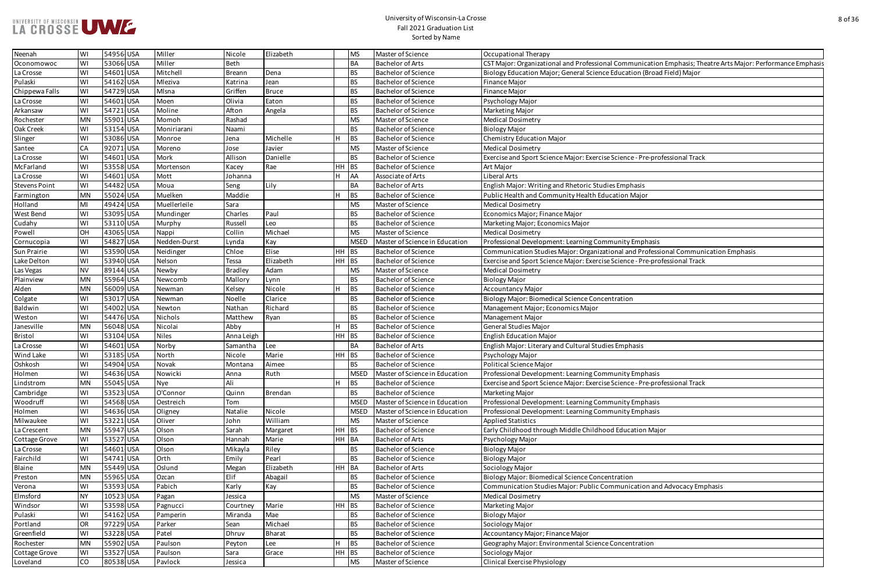### UNIVERSITY OF WISCONSIN UNIVERSITY OF WISCONSIN

| Neenah               | WI        | 54956 USA | Miller       | Nicole         | Elizabeth     |       | <b>MS</b>   | Master of Science              | Occupational Therapy                                                                                        |
|----------------------|-----------|-----------|--------------|----------------|---------------|-------|-------------|--------------------------------|-------------------------------------------------------------------------------------------------------------|
| Oconomowoc           | WI        | 53066 USA | Miller       | Beth           |               |       | <b>BA</b>   | <b>Bachelor of Arts</b>        | CST Major: Organizational and Professional Communication Emphasis; Theatre Arts Major: Performance Emphasis |
| La Crosse            | WI        | 54601 USA | Mitchell     | <b>Breann</b>  | Dena          |       | <b>BS</b>   | <b>Bachelor of Science</b>     | Biology Education Major; General Science Education (Broad Field) Major                                      |
| Pulaski              | WI        | 54162 USA | Mleziva      | Katrina        | Jean          |       | <b>BS</b>   | <b>Bachelor of Science</b>     | <b>Finance Major</b>                                                                                        |
| Chippewa Falls       | WI        | 54729 USA | Mlsna        | Griffen        | <b>Bruce</b>  |       | <b>BS</b>   | <b>Bachelor of Science</b>     | Finance Major                                                                                               |
| La Crosse            | WI        | 54601 USA | Moen         | Olivia         | Eaton         |       | <b>BS</b>   | <b>Bachelor of Science</b>     | Psychology Major                                                                                            |
| Arkansaw             | WI        | 54721 USA | Moline       | Afton          | Angela        |       | <b>BS</b>   | <b>Bachelor of Science</b>     | Marketing Major                                                                                             |
| Rochester            | <b>MN</b> | 55901 USA | Momoh        | Rashad         |               |       | <b>MS</b>   | Master of Science              | <b>Medical Dosimetry</b>                                                                                    |
| Oak Creek            | WI        | 53154 USA | Moniriarani  | Naami          |               |       | <b>BS</b>   | <b>Bachelor of Science</b>     | <b>Biology Major</b>                                                                                        |
| Slinger              | WI        | 53086 USA | Monroe       | Jena           | Michelle      |       | <b>BS</b>   | <b>Bachelor of Science</b>     | <b>Chemistry Education Major</b>                                                                            |
| Santee               | CA        | 92071 USA | Moreno       | Jose           | Javier        |       | <b>MS</b>   | Master of Science              | <b>Medical Dosimetry</b>                                                                                    |
| La Crosse            | WI        | 54601 USA | Mork         | Allison        | Danielle      |       | <b>BS</b>   | <b>Bachelor of Science</b>     | Exercise and Sport Science Major: Exercise Science - Pre-professional Track                                 |
| McFarland            | WI        | 53558 USA | Mortenson    | Kacey          | Rae           | HH BS |             | <b>Bachelor of Science</b>     | Art Major                                                                                                   |
| La Crosse            | WI        | 54601 USA | Mott         | Johanna        |               |       | <b>AA</b>   | Associate of Arts              | <b>Liberal Arts</b>                                                                                         |
| <b>Stevens Point</b> | WI        | 54482 USA | Moua         | Seng           | Lily          |       | <b>BA</b>   | <b>Bachelor of Arts</b>        | English Major: Writing and Rhetoric Studies Emphasis                                                        |
| Farmington           | <b>MN</b> | 55024 USA | Muelken      | Maddie         |               |       | <b>BS</b>   | <b>Bachelor of Science</b>     | Public Health and Community Health Education Major                                                          |
| Holland              | MI        | 49424 USA | Muellerleile | Sara           |               |       | <b>MS</b>   | Master of Science              | <b>Medical Dosimetry</b>                                                                                    |
| West Bend            | WI        | 53095 USA | Mundinger    | Charles        | Paul          |       | <b>BS</b>   | <b>Bachelor of Science</b>     | Economics Major; Finance Major                                                                              |
| Cudahy               | WI        | 53110 USA | Murphy       | Russell        | Leo           |       | <b>BS</b>   | <b>Bachelor of Science</b>     | Marketing Major; Economics Major                                                                            |
| Powell               | OH        | 43065 USA | Nappi        | Collin         | Michael       |       | <b>MS</b>   | Master of Science              | <b>Medical Dosimetry</b>                                                                                    |
| Cornucopia           | WI        | 54827 USA | Nedden-Durst | Lynda          | Kay           |       | <b>MSED</b> | Master of Science in Education | Professional Development: Learning Community Emphasis                                                       |
| Sun Prairie          | WI        | 53590 USA | Neidinger    | Chloe          | Elise         | HH BS |             | <b>Bachelor of Science</b>     | Communication Studies Major: Organizational and Professional Communication Emphasis                         |
| Lake Delton          | WI        | 53940 USA | Nelson       | Tessa          | Elizabeth     | HH BS |             | <b>Bachelor of Science</b>     | Exercise and Sport Science Major: Exercise Science - Pre-professional Track                                 |
| Las Vegas            | <b>NV</b> | 89144 USA | Newby        | <b>Bradley</b> | Adam          |       | <b>MS</b>   | Master of Science              | <b>Medical Dosimetry</b>                                                                                    |
| Plainview            | <b>MN</b> | 55964 USA | Newcomb      | Mallory        | Lynn          |       | <b>BS</b>   | <b>Bachelor of Science</b>     | <b>Biology Major</b>                                                                                        |
| Alden                | <b>MN</b> | 56009 USA | Newman       | Kelsey         | Nicole        |       | <b>BS</b>   | <b>Bachelor of Science</b>     | <b>Accountancy Major</b>                                                                                    |
| Colgate              | WI        | 53017 USA | Newman       | Noelle         | Clarice       |       | <b>BS</b>   | <b>Bachelor of Science</b>     | Biology Major: Biomedical Science Concentration                                                             |
| Baldwin              | WI        | 54002 USA | Newton       | Nathan         | Richard       |       | <b>BS</b>   | <b>Bachelor of Science</b>     | Management Major; Economics Major                                                                           |
| Weston               | WI        | 54476 USA | Nichols      | Matthew        | Ryan          |       | <b>BS</b>   | <b>Bachelor of Science</b>     | Management Major                                                                                            |
| Janesville           | <b>MN</b> | 56048 USA | Nicolai      | Abby           |               |       | <b>BS</b>   | <b>Bachelor of Science</b>     | General Studies Major                                                                                       |
| <b>Bristol</b>       | WI        | 53104 USA | <b>Niles</b> | Anna Leigh     |               | HH BS |             | <b>Bachelor of Science</b>     | <b>English Education Major</b>                                                                              |
| La Crosse            | WI        | 54601 USA | Norby        | Samantha Lee   |               |       | <b>BA</b>   | <b>Bachelor of Arts</b>        | English Major: Literary and Cultural Studies Emphasis                                                       |
| <b>Wind Lake</b>     | WI        | 53185 USA | North        | Nicole         | Marie         | HH BS |             | <b>Bachelor of Science</b>     | Psychology Major                                                                                            |
| Oshkosh              | WI        | 54904 USA | Novak        | Montana        | Aimee         |       | <b>BS</b>   | <b>Bachelor of Science</b>     | Political Science Major                                                                                     |
| Holmen               | WI        | 54636 USA | Nowicki      | Anna           | Ruth          |       | <b>MSED</b> | Master of Science in Education | Professional Development: Learning Community Emphasis                                                       |
| Lindstrom            | <b>MN</b> | 55045 USA | Nye          | Ali            |               |       | <b>BS</b>   | <b>Bachelor of Science</b>     | Exercise and Sport Science Major: Exercise Science - Pre-professional Track                                 |
| Cambridge            | WI        | 53523 USA | O'Connor     | Quinn          | Brendan       |       | <b>BS</b>   | <b>Bachelor of Science</b>     | Marketing Major                                                                                             |
| Woodruff             | WI        | 54568 USA | Oestreich    | Tom            |               |       | <b>MSED</b> | Master of Science in Education | Professional Development: Learning Community Emphasis                                                       |
| Holmen               | WI        | 54636 USA | Oligney      | Natalie        | Nicole        |       | <b>MSED</b> | Master of Science in Education | Professional Development: Learning Community Emphasis                                                       |
| Milwaukee            | WI        | 53221 USA | Oliver       | John           | William       |       | <b>MS</b>   | Master of Science              | <b>Applied Statistics</b>                                                                                   |
| La Crescent          | <b>MN</b> | 55947 USA | Olson        | Sarah          | Margaret      | HH BS |             | <b>Bachelor of Science</b>     | Early Childhood through Middle Childhood Education Major                                                    |
| Cottage Grove        | WI        | 53527 USA | Olson        | Hannah         | Marie         | HH BA |             | <b>Bachelor of Arts</b>        | Psychology Major                                                                                            |
| La Crosse            | WI        | 54601 USA | Olson        | Mikayla        | Riley         |       | <b>BS</b>   | <b>Bachelor of Science</b>     | <b>Biology Major</b>                                                                                        |
| Fairchild            | WI        | 54741 USA | Orth         | Emily          | Pearl         |       | <b>BS</b>   | <b>Bachelor of Science</b>     | <b>Biology Major</b>                                                                                        |
| Blaine               | <b>MN</b> | 55449 USA | Oslund       | Megan          | Elizabeth     | HH BA |             | <b>Bachelor of Arts</b>        | Sociology Major                                                                                             |
| Preston              | <b>MN</b> | 55965 USA | Ozcan        | Elif           | Abagail       |       | <b>BS</b>   | <b>Bachelor of Science</b>     | Biology Major: Biomedical Science Concentration                                                             |
| Verona               | WI        | 53593 USA | Pabich       | Karly          | Kay           |       | BS          | <b>Bachelor of Science</b>     | Communication Studies Major: Public Communication and Advocacy Emphasis                                     |
| Elmsford             | <b>NY</b> | 10523 USA | Pagan        | Jessica        |               |       | <b>MS</b>   | Master of Science              | <b>Medical Dosimetry</b>                                                                                    |
| Windsor              | WI        | 53598 USA | Pagnucci     | Courtney       | Marie         | HH BS |             | <b>Bachelor of Science</b>     | Marketing Major                                                                                             |
| Pulaski              | WI        | 54162 USA | Pamperin     | Miranda        | Mae           |       | <b>BS</b>   | <b>Bachelor of Science</b>     | <b>Biology Major</b>                                                                                        |
| Portland             | OR        | 97229 USA | Parker       | Sean           | Michael       |       | <b>BS</b>   | <b>Bachelor of Science</b>     | Sociology Major                                                                                             |
| Greenfield           | WI        | 53228 USA | Patel        | <b>Dhruv</b>   | <b>Bharat</b> |       | <b>BS</b>   | <b>Bachelor of Science</b>     | Accountancy Major; Finance Major                                                                            |
| Rochester            | <b>MN</b> | 55902 USA | Paulson      | Peyton         | Lee           |       | <b>BS</b>   | <b>Bachelor of Science</b>     | Geography Major: Environmental Science Concentration                                                        |
| Cottage Grove        | WI        | 53527 USA | Paulson      | Sara           | Grace         | HH BS |             | <b>Bachelor of Science</b>     | Sociology Major                                                                                             |
| Loveland             | <b>CO</b> | 80538 USA | Pavlock      | Jessica        |               |       | <b>MS</b>   | Master of Science              | <b>Clinical Exercise Physiology</b>                                                                         |
|                      |           |           |              |                |               |       |             |                                |                                                                                                             |

| al Communication Emphasis; Theatre Arts Major: Performance Emphasis |
|---------------------------------------------------------------------|
| e Education (Broad Field) Major                                     |
|                                                                     |
|                                                                     |
|                                                                     |
|                                                                     |
|                                                                     |
|                                                                     |
|                                                                     |
|                                                                     |
|                                                                     |
| e Science - Pre-professional Track                                  |
|                                                                     |
|                                                                     |
|                                                                     |
| ies Emphasis                                                        |
| ucation Major                                                       |
|                                                                     |
|                                                                     |
|                                                                     |
|                                                                     |
| munity Emphasis                                                     |
| tional and Professional Communication Emphasis                      |
|                                                                     |
| e Science - Pre-professional Track                                  |
|                                                                     |
|                                                                     |
|                                                                     |
| ntration!                                                           |
|                                                                     |
|                                                                     |
|                                                                     |
|                                                                     |
| es Emphasis                                                         |
|                                                                     |
|                                                                     |
| munity Emphasis                                                     |
|                                                                     |
| e Science - Pre-professional Track                                  |
|                                                                     |
| munity Emphasis                                                     |
| munity Emphasis                                                     |
|                                                                     |
| od Education Major                                                  |
|                                                                     |
|                                                                     |
|                                                                     |
|                                                                     |
|                                                                     |
| ntration                                                            |
| ommunication and Advocacy Emphasis                                  |
|                                                                     |
|                                                                     |
|                                                                     |
|                                                                     |
|                                                                     |
|                                                                     |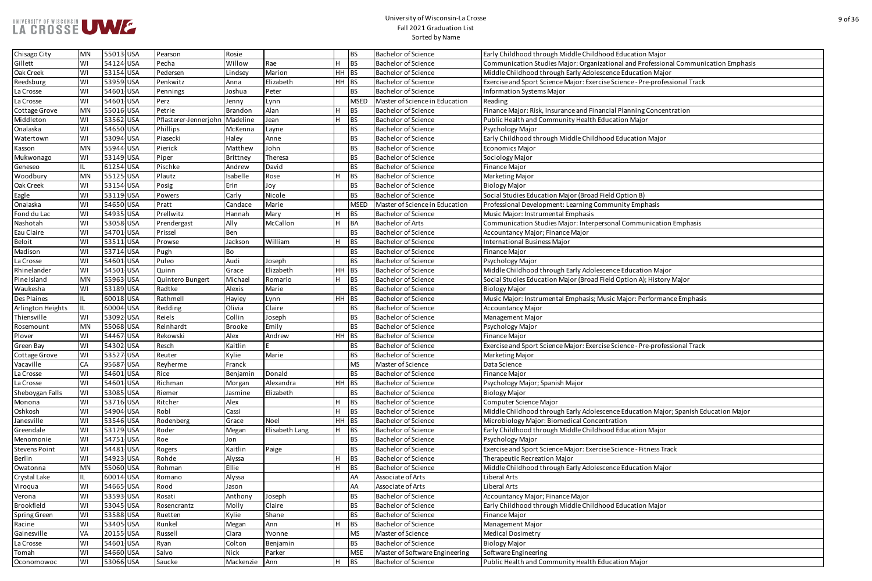#### University of Wisconsin-La Crosse Fall 2021 Graduation List Sorted by Name

| iod Education Major                            |
|------------------------------------------------|
| tional and Professional Communication Emphasis |
| ence Education Major                           |
| se Science - Pre-professional Track            |
|                                                |
|                                                |
| cial Planning Concentration                    |
| ucation Major                                  |
|                                                |
| od Education Major                             |
|                                                |
|                                                |
|                                                |
|                                                |
|                                                |
| eld Option B)                                  |
| nmunity Emphasis                               |
|                                                |
| sonal Communication Emphasis                   |
|                                                |
|                                                |
|                                                |
|                                                |
| ence Education Major                           |
| eld Option A); History Major                   |
|                                                |
| isic Major: Performance Emphasis               |
|                                                |
|                                                |
|                                                |
|                                                |
| se Science - Pre-professional Track            |
|                                                |
|                                                |
|                                                |
|                                                |
|                                                |
|                                                |
|                                                |
| ence Education Major; Spanish Education Major  |
| tration                                        |
| od Education Major                             |
|                                                |
| se Science - Fitness Track                     |
|                                                |
| ence Education Major                           |
|                                                |
|                                                |
|                                                |
| od Education Major                             |
|                                                |
|                                                |
|                                                |
|                                                |
|                                                |
| ucation Major                                  |

| Chisago City         | <b>MN</b> | 55013 USA | Pearson                          | Rosie         |                |       | <b>BS</b>   | <b>Bachelor of Science</b>     | Early Childhood through Middle Childhood Education Major                            |
|----------------------|-----------|-----------|----------------------------------|---------------|----------------|-------|-------------|--------------------------------|-------------------------------------------------------------------------------------|
| Gillett              | WI        | 54124 USA | Pecha                            | Willow        | Rae            |       | <b>BS</b>   | <b>Bachelor of Science</b>     | Communication Studies Major: Organizational and Professional Communication Emphasis |
| Oak Creek            | WI        | 53154 USA | Pedersen                         | Lindsey       | Marion         | HH BS |             | <b>Bachelor of Science</b>     | Middle Childhood through Early Adolescence Education Major                          |
| Reedsburg            | WI        | 53959 USA | Penkwitz                         | Anna          | Elizabeth      | HH BS |             | <b>Bachelor of Science</b>     | Exercise and Sport Science Major: Exercise Science - Pre-professional Track         |
| La Crosse            | WI        | 54601 USA | Pennings                         | Joshua        | Peter          |       | <b>BS</b>   | <b>Bachelor of Science</b>     | <b>Information Systems Major</b>                                                    |
| La Crosse            | WI        | 54601 USA | Perz                             | Jenny         | Lynn           |       | <b>MSED</b> | Master of Science in Education | Reading                                                                             |
| Cottage Grove        | <b>MN</b> | 55016 USA | Petrie                           | Brandon       | Alan           |       | <b>BS</b>   | <b>Bachelor of Science</b>     | Finance Major: Risk, Insurance and Financial Planning Concentration                 |
| Middleton            | WI        | 53562 USA | Pflasterer-Jennerjohn   Madeline |               | Jean           |       | <b>BS</b>   | <b>Bachelor of Science</b>     | Public Health and Community Health Education Major                                  |
| Onalaska             | WI        | 54650 USA | Phillips                         | McKenna       | Layne          |       | <b>BS</b>   | <b>Bachelor of Science</b>     | Psychology Major                                                                    |
| Watertown            | WI        | 53094 USA | Piasecki                         | Haley         | Anne           |       | <b>BS</b>   | <b>Bachelor of Science</b>     | Early Childhood through Middle Childhood Education Major                            |
| Kasson               | <b>MN</b> | 55944 USA | Pierick                          | Matthew       | John           |       | <b>BS</b>   | <b>Bachelor of Science</b>     | <b>Economics Major</b>                                                              |
| Mukwonago            | WI        | 53149 USA | Piper                            | Brittney      | Theresa        |       | <b>BS</b>   | <b>Bachelor of Science</b>     | Sociology Major                                                                     |
| Geneseo              | IL.       | 61254 USA | Pischke                          | Andrew        | David          |       | <b>BS</b>   | <b>Bachelor of Science</b>     | Finance Major                                                                       |
| Woodbury             | <b>MN</b> | 55125 USA | Plautz                           | Isabelle      | Rose           |       | <b>BS</b>   | <b>Bachelor of Science</b>     | Marketing Major                                                                     |
| Oak Creek            | WI        | 53154 USA | Posig                            | Erin          | loy            |       | <b>BS</b>   | <b>Bachelor of Science</b>     | <b>Biology Major</b>                                                                |
| Eagle                | WI        | 53119 USA | Powers                           | Carly         | Nicole         |       | <b>BS</b>   | <b>Bachelor of Science</b>     | Social Studies Education Major (Broad Field Option B)                               |
| Onalaska             | WI        | 54650 USA | Pratt                            | Candace       | Marie          |       | <b>MSED</b> | Master of Science in Education | Professional Development: Learning Community Emphasis                               |
| Fond du Lac          | WI        | 54935 USA | Prellwitz                        | Hannah        | Mary           |       | <b>BS</b>   | <b>Bachelor of Science</b>     | Music Major: Instrumental Emphasis                                                  |
| Nashotah             | WI        | 53058 USA | Prendergast                      | Ally          | McCallon       |       | <b>BA</b>   | <b>Bachelor of Arts</b>        | Communication Studies Major: Interpersonal Communication Emphasis                   |
| Eau Claire           | WI        | 54701 USA | Prissel                          | Ben           |                |       | <b>BS</b>   | <b>Bachelor of Science</b>     | Accountancy Major; Finance Major                                                    |
| Beloit               | WI        | 53511 USA | Prowse                           | Jackson       | William        |       | <b>BS</b>   | <b>Bachelor of Science</b>     | <b>International Business Major</b>                                                 |
| Madison              | WI        | 53714 USA | Pugh                             | Bo            |                |       | <b>BS</b>   | <b>Bachelor of Science</b>     | Finance Major                                                                       |
| La Crosse            | WI        | 54601 USA | Puleo                            | Audi          | Joseph         |       | <b>BS</b>   | <b>Bachelor of Science</b>     | Psychology Major                                                                    |
| Rhinelander          | WI        | 54501 USA | Quinn                            | Grace         | Elizabeth      | HH    | BS          | <b>Bachelor of Science</b>     | Middle Childhood through Early Adolescence Education Major                          |
| Pine Island          | <b>MN</b> | 55963 USA | Quintero Bungert                 | Michael       | Romario        |       | <b>BS</b>   | <b>Bachelor of Science</b>     | Social Studies Education Major (Broad Field Option A); History Major                |
| Waukesha             | WI        | 53189 USA | Radtke                           | Alexis        | Marie          |       | <b>BS</b>   | <b>Bachelor of Science</b>     | <b>Biology Major</b>                                                                |
| Des Plaines          | IL        | 60018 USA | Rathmell                         | Hayley        | Lynn           | HH BS |             | <b>Bachelor of Science</b>     | Music Major: Instrumental Emphasis; Music Major: Performance Emphasis               |
| Arlington Heights    | IL        | 60004 USA | Redding                          | Olivia        | Claire         |       | <b>BS</b>   | <b>Bachelor of Science</b>     | <b>Accountancy Major</b>                                                            |
| Thiensville          | WI        | 53092 USA | Reiels                           | Collin        | Joseph         |       | <b>BS</b>   | <b>Bachelor of Science</b>     | Management Major                                                                    |
| Rosemount            | <b>MN</b> | 55068 USA | Reinhardt                        | <b>Brooke</b> | Emily          |       | <b>BS</b>   | <b>Bachelor of Science</b>     | Psychology Major                                                                    |
| Plover               | WI        | 54467 USA | Rekowski                         | Alex          | Andrew         | HH    | BS          | <b>Bachelor of Science</b>     | <b>Finance Major</b>                                                                |
| Green Bay            | WI        | 54302 USA | Resch                            | Kaitlin       |                |       | <b>BS</b>   | <b>Bachelor of Science</b>     | Exercise and Sport Science Major: Exercise Science - Pre-professional Track         |
| Cottage Grove        | <b>WI</b> | 53527 USA | Reuter                           | Kylie         | Marie          |       | <b>BS</b>   | <b>Bachelor of Science</b>     | Marketing Major                                                                     |
| Vacaville            | CA        | 95687 USA | Reyherme                         | Franck        |                |       | <b>MS</b>   | Master of Science              | Data Science                                                                        |
| La Crosse            | WI        | 54601 USA | Rice                             | Benjamin      | Donald         |       | <b>BS</b>   | <b>Bachelor of Science</b>     | Finance Major                                                                       |
| La Crosse            | WI        | 54601 USA | Richman                          | Morgan        | Alexandra      | HH BS |             | <b>Bachelor of Science</b>     | Psychology Major; Spanish Major                                                     |
| Sheboygan Falls      | WI        | 53085 USA | Riemer                           | Jasmine       | Elizabeth      |       | <b>BS</b>   | <b>Bachelor of Science</b>     | <b>Biology Major</b>                                                                |
| Monona               | WI        | 53716 USA | Ritcher                          | Alex          |                |       | <b>BS</b>   | <b>Bachelor of Science</b>     | Computer Science Major                                                              |
| Oshkosh              | WI        | 54904 USA | Robl                             | Cassi         |                |       | <b>BS</b>   | <b>Bachelor of Science</b>     | Middle Childhood through Early Adolescence Education Major; Spanish Education Major |
| Janesville           | WI        | 53546 USA | Rodenberg                        | Grace         | Noel           | HH    | BS          | <b>Bachelor of Science</b>     | Microbiology Major: Biomedical Concentration                                        |
| Greendale            | WI        | 53129 USA | Roder                            | Megan         | Elisabeth Lang |       | <b>BS</b>   | <b>Bachelor of Science</b>     | Early Childhood through Middle Childhood Education Major                            |
| Menomonie            | WI        | 54751 USA | Roe                              | Jon           |                |       | <b>BS</b>   | <b>Bachelor of Science</b>     | Psychology Major                                                                    |
| <b>Stevens Point</b> | WI        | 54481 USA | Rogers                           | Kaitlin       | Paige          |       | <b>BS</b>   | <b>Bachelor of Science</b>     | Exercise and Sport Science Major: Exercise Science - Fitness Track                  |
| Berlin               | WI        | 54923 USA | Rohde                            | Alyssa        |                |       | <b>BS</b>   | <b>Bachelor of Science</b>     | Therapeutic Recreation Major                                                        |
| Owatonna             | <b>MN</b> | 55060 USA | Rohman                           | Ellie         |                |       | <b>BS</b>   | <b>Bachelor of Science</b>     | Middle Childhood through Early Adolescence Education Major                          |
| Crystal Lake         | IL        | 60014 USA | Romano                           | Alyssa        |                |       | AA          | Associate of Arts              | Liberal Arts                                                                        |
| Viroqua              | WI        | 54665 USA | Rood                             | Jason         |                |       | AA          | Associate of Arts              | Liberal Arts                                                                        |
| Verona               | WI        | 53593 USA | Rosati                           | Anthony       | Joseph         |       | <b>BS</b>   | <b>Bachelor of Science</b>     | Accountancy Major; Finance Major                                                    |
| Brookfield           | WI        | 53045 USA | Rosencrantz                      | Molly         | Claire         |       | <b>BS</b>   | <b>Bachelor of Science</b>     | Early Childhood through Middle Childhood Education Major                            |
| Spring Green         | WI        | 53588 USA | Ruetten                          | Kylie         | Shane          |       | <b>BS</b>   | <b>Bachelor of Science</b>     | Finance Major                                                                       |
| Racine               | WI        | 53405 USA | Runkel                           | Megan         | Ann            |       | <b>BS</b>   | <b>Bachelor of Science</b>     | Management Major                                                                    |
| Gainesville          | VA        | 20155 USA | Russell                          | Ciara         | Yvonne         |       | <b>MS</b>   | Master of Science              | <b>Medical Dosimetry</b>                                                            |
| La Crosse            | WI        | 54601 USA | Ryan                             | Colton        | Benjamin       |       | <b>BS</b>   | <b>Bachelor of Science</b>     | <b>Biology Major</b>                                                                |
| Tomah                | WI        | 54660 USA | Salvo                            | <b>Nick</b>   | Parker         |       | <b>MSF</b>  | Master of Software Engineering | Software Engineering                                                                |
| Oconomowoc           | WI        | 53066 USA | Saucke                           | Mackenzie     | Ann            |       | <b>BS</b>   | <b>Bachelor of Science</b>     | Public Health and Community Health Education Major                                  |
|                      |           |           |                                  |               |                |       |             |                                |                                                                                     |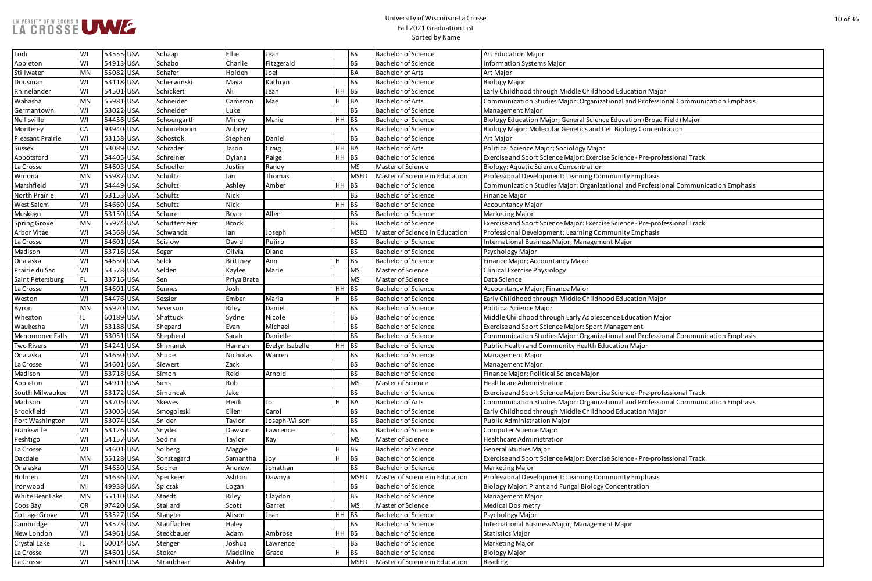#### University of Wisconsin-La Crosse Fall 2021 Graduation List Sorted by Name

| od Education Major                                           |
|--------------------------------------------------------------|
| tional and Professional Communication Emphasis               |
|                                                              |
| e Education (Broad Field) Major                              |
| ell Biology Concentration                                    |
|                                                              |
|                                                              |
| se Science - Pre-professional Track                          |
|                                                              |
| nmunity Emphasis                                             |
| tional and Professional Communication Emphasis               |
|                                                              |
|                                                              |
|                                                              |
| se Science - Pre-professional Track                          |
| nmunity Emphasis                                             |
| ent Major                                                    |
|                                                              |
|                                                              |
|                                                              |
|                                                              |
|                                                              |
| od Education Major                                           |
|                                                              |
| ence Education Major                                         |
| Management<br>tional and Professional Communication Emphasis |
| ucation Major                                                |
|                                                              |
|                                                              |
|                                                              |
|                                                              |
| se Science - Pre-professional Track                          |
| tional and Professional Communication Emphasis               |
| od Education Major                                           |
|                                                              |
|                                                              |
|                                                              |
|                                                              |
| se Science - Pre-professional Track                          |
|                                                              |
| nmunity Emphasis                                             |
| Concentration                                                |
|                                                              |
|                                                              |
|                                                              |
| ent Major                                                    |
|                                                              |
|                                                              |
|                                                              |
|                                                              |

| Lodi                       | WI        | 53555 USA | Schaap                  | Ellie          | Jean            |         | <b>BS</b>   | <b>Bachelor of Science</b>     | <b>Art Education Major</b>                                                          |
|----------------------------|-----------|-----------|-------------------------|----------------|-----------------|---------|-------------|--------------------------------|-------------------------------------------------------------------------------------|
| Appleton                   | WI        | 54913 USA | Schabo                  | Charlie        | Fitzgerald      |         | <b>BS</b>   | <b>Bachelor of Science</b>     | <b>Information Systems Major</b>                                                    |
| Stillwater                 | <b>MN</b> | 55082 USA | Schafer                 | Holden         | Joel            |         | <b>BA</b>   | <b>Bachelor of Arts</b>        | Art Major                                                                           |
| Dousman                    | W١        | 53118 USA | Scherwinski             | Maya           | Kathryn         |         | <b>BS</b>   | <b>Bachelor of Science</b>     | <b>Biology Major</b>                                                                |
| Rhinelander                | WI        | 54501 USA | Schickert               | Ali            | Jean            | HH BS   |             | <b>Bachelor of Science</b>     | Early Childhood through Middle Childhood Education Major                            |
| Wabasha                    | <b>MN</b> | 55981 USA | Schneider               | Cameron        | Mae             |         | BA          | <b>Bachelor of Arts</b>        | Communication Studies Major: Organizational and Professional Communication Emphasis |
| Germantown                 | WI        | 53022 USA | Schneider               | Luke           |                 |         | <b>BS</b>   | <b>Bachelor of Science</b>     | Management Major                                                                    |
| Neillsville                | WI        | 54456 USA | Schoengarth             | Mindy          | Marie           | HH BS   |             | <b>Bachelor of Science</b>     | Biology Education Major; General Science Education (Broad Field) Major              |
| Monterey                   | CA        | 93940 USA | Schoneboom              | Aubrey         |                 |         | <b>BS</b>   | <b>Bachelor of Science</b>     | Biology Major: Molecular Genetics and Cell Biology Concentration                    |
| Pleasant Prairie           | WI        | 53158 USA | Schostok                | Stephen        | Daniel          |         | <b>BS</b>   | <b>Bachelor of Science</b>     | Art Major                                                                           |
| <b>Sussex</b>              | WI        | 53089 USA | Schrader                | Jason          | Craig           | HH BA   |             | <b>Bachelor of Arts</b>        | Political Science Major; Sociology Major                                            |
| Abbotsford                 | WI        | 54405 USA | Schreiner               | Dylana         | Paige           | $HH$ BS |             | <b>Bachelor of Science</b>     | Exercise and Sport Science Major: Exercise Science - Pre-professional Track         |
| La Crosse                  | WI        | 54603 USA | Schueller               | Justin         | Randy           |         | <b>MS</b>   | Master of Science              | <b>Biology: Aquatic Science Concentration</b>                                       |
| Winona                     | <b>MN</b> | 55987 USA | Schultz                 | Ian            | Thomas          |         | <b>MSED</b> | Master of Science in Education | Professional Development: Learning Community Emphasis                               |
| Marshfield                 | WI        | 54449 USA | Schultz                 | Ashley         | Amber           | HН      | BS          | <b>Bachelor of Science</b>     | Communication Studies Major: Organizational and Professional Communication Emphasis |
| North Prairie              | WI        | 53153 USA | Schultz                 | Nick           |                 |         | <b>BS</b>   | <b>Bachelor of Science</b>     | Finance Major                                                                       |
| West Salem                 | WI        | 54669 USA | Schultz                 | <b>Nick</b>    |                 | HH BS   |             | <b>Bachelor of Science</b>     | <b>Accountancy Major</b>                                                            |
| Muskego                    | WI        | 53150 USA | Schure                  | <b>Bryce</b>   | Allen           |         | <b>BS</b>   | <b>Bachelor of Science</b>     | Marketing Major                                                                     |
| <b>Spring Grove</b>        | <b>MN</b> | 55974 USA | Schuttemeier            | <b>Brock</b>   |                 |         | <b>BS</b>   | <b>Bachelor of Science</b>     | Exercise and Sport Science Major: Exercise Science - Pre-professional Track         |
| Arbor Vitae                | WI        | 54568 USA | Schwanda                | lan            | Joseph          |         | <b>MSED</b> | Master of Science in Education | Professional Development: Learning Community Emphasis                               |
| La Crosse                  | WI        | 54601 USA | Scislow                 | David          | Pujiro          |         | <b>BS</b>   | <b>Bachelor of Science</b>     | International Business Major; Management Major                                      |
| Madison                    | W١        | 53716 USA | Seger                   | Olivia         | Diane           |         | <b>BS</b>   | <b>Bachelor of Science</b>     | Psychology Major                                                                    |
| Onalaska                   | WI        | 54650 USA | Selck                   | Brittney       | Ann             |         | <b>BS</b>   | <b>Bachelor of Science</b>     | Finance Major; Accountancy Major                                                    |
| Prairie du Sac             | WI        | 53578 USA | Selden                  | Kaylee         | Marie           |         | <b>MS</b>   | Master of Science              | <b>Clinical Exercise Physiology</b>                                                 |
| Saint Petersburg           | FL.       | 33716 USA | Sen                     | Priya Brata    |                 |         | <b>MS</b>   | Master of Science              | Data Science                                                                        |
| La Crosse                  | WI        | 54601 USA | Sennes                  | Josh           |                 | HH BS   |             | <b>Bachelor of Science</b>     | Accountancy Major; Finance Major                                                    |
| Weston                     | WI        | 54476 USA | Sessler                 | Ember          | Maria           |         | <b>BS</b>   | <b>Bachelor of Science</b>     | Early Childhood through Middle Childhood Education Major                            |
| Byron                      | <b>MN</b> | 55920 USA | Severson                | Riley          | Daniel          |         | <b>BS</b>   | <b>Bachelor of Science</b>     | <b>Political Science Major</b>                                                      |
| Wheaton                    |           | 60189 USA | Shattuck                | Sydne          | Nicole          |         | <b>BS</b>   | <b>Bachelor of Science</b>     | Middle Childhood through Early Adolescence Education Major                          |
| Waukesha                   | WI        | 53188 USA | Shepard                 | Evan           | Michael         |         | <b>BS</b>   | <b>Bachelor of Science</b>     | Exercise and Sport Science Major: Sport Management                                  |
| Menomonee Falls            | WI        | 53051 USA | Shepherd                | Sarah          | Danielle        |         | <b>BS</b>   | <b>Bachelor of Science</b>     | Communication Studies Major: Organizational and Professional Communication Emphasis |
| Two Rivers                 | WI        | 54241 USA | Shimanek                | Hannah         | Evelyn Isabelle | $HH$ BS |             | <b>Bachelor of Science</b>     | Public Health and Community Health Education Major                                  |
| Onalaska                   | <b>WI</b> | 54650 USA | Shupe                   | Nicholas       | Warren          |         | <b>BS</b>   | <b>Bachelor of Science</b>     | Management Major                                                                    |
| La Crosse                  | WI        | 54601 USA | Siewert                 | Zack           |                 |         | <b>BS</b>   | <b>Bachelor of Science</b>     | Management Major                                                                    |
| Madison                    | WI        | 53718 USA | Simon                   | Reid           | Arnold          |         | <b>BS</b>   | <b>Bachelor of Science</b>     | Finance Major; Political Science Major                                              |
| Appleton                   | WI        | 54911 USA | Sims                    | Rob            |                 |         | <b>MS</b>   | Master of Science              | Healthcare Administration                                                           |
| South Milwaukee            | WI        | 53172 USA | Simuncak                | Jake           |                 |         | <b>BS</b>   | <b>Bachelor of Science</b>     | Exercise and Sport Science Major: Exercise Science - Pre-professional Track         |
| Madison                    | WI        | 53705 USA | Skewes                  | Heidi          | Jo              |         | BA          | <b>Bachelor of Arts</b>        | Communication Studies Major: Organizational and Professional Communication Emphasis |
| Brookfield                 | WI        | 53005 USA | Smogoleski              | Ellen          | Carol           |         | <b>BS</b>   | <b>Bachelor of Science</b>     | Early Childhood through Middle Childhood Education Major                            |
| Port Washington            | WI        | 53074 USA | Snider                  | Taylor         | Joseph-Wilson   |         | <b>BS</b>   | <b>Bachelor of Science</b>     | <b>Public Administration Major</b>                                                  |
| Franksville                | WI        | 53126 USA | Snyder                  | Dawson         | Lawrence        |         | <b>BS</b>   | <b>Bachelor of Science</b>     | Computer Science Major                                                              |
| Peshtigo                   | WI        | 54157 USA | Sodini                  | Taylor         | Kay             |         | <b>MS</b>   | Master of Science              | Healthcare Administration                                                           |
| La Crosse                  | WI        | 54601 USA | Solberg                 | Maggie         |                 |         | <b>BS</b>   | <b>Bachelor of Science</b>     | General Studies Major                                                               |
| Oakdale                    | <b>MN</b> | 55128 USA | Sonstegard              | Samantha       | Joy             | H       | BS          | <b>Bachelor of Science</b>     | Exercise and Sport Science Major: Exercise Science - Pre-professional Track         |
| Onalaska                   | WI        | 54650 USA | Sopher                  | Andrew         | Jonathan        |         | <b>BS</b>   | <b>Bachelor of Science</b>     | Marketing Major                                                                     |
| Holmen                     | WI        | 54636 USA | Speckeen                | Ashton         | Dawnya          |         | <b>MSED</b> | Master of Science in Education | Professional Development: Learning Community Emphasis                               |
| Ironwood                   | MI        | 49938 USA | Spiczak                 | Logan          |                 |         | <b>BS</b>   | <b>Bachelor of Science</b>     | Biology Major: Plant and Fungal Biology Concentration                               |
| White Bear Lake            | <b>MN</b> | 55110 USA | Staedt                  | Riley          | Claydon         |         | <b>BS</b>   | <b>Bachelor of Science</b>     |                                                                                     |
| Coos Bay                   | <b>OR</b> | 97420 USA | Stallard                | Scott          | Garret          |         | <b>MS</b>   | Master of Science              | Management Major<br><b>Medical Dosimetry</b>                                        |
|                            | WI        | 53527 USA |                         | Alison         |                 | $HH$ BS |             | <b>Bachelor of Science</b>     |                                                                                     |
| Cottage Grove<br>Cambridge | WI        | 53523 USA | Stangler<br>Stauffacher | Haley          | Jean            |         | <b>BS</b>   | <b>Bachelor of Science</b>     | Psychology Major                                                                    |
| New London                 | WI        | 54961 USA | Steckbauer              |                | Ambrose         | HH BS   |             | <b>Bachelor of Science</b>     | International Business Major; Management Major                                      |
| Crystal Lake               |           | 60014 USA | Stenger                 | Adam<br>Joshua | Lawrence        |         | <b>BS</b>   | <b>Bachelor of Science</b>     | <b>Statistics Major</b>                                                             |
|                            |           | 54601 USA | Stoker                  |                |                 |         |             | <b>Bachelor of Science</b>     | Marketing Major                                                                     |
| La Crosse                  | WI        |           |                         | Madeline       | Grace           |         | <b>BS</b>   |                                | <b>Biology Major</b>                                                                |
| La Crosse                  | WI        | 54601 USA | Straubhaar              | Ashley         |                 |         | <b>MSED</b> | Master of Science in Education | Reading                                                                             |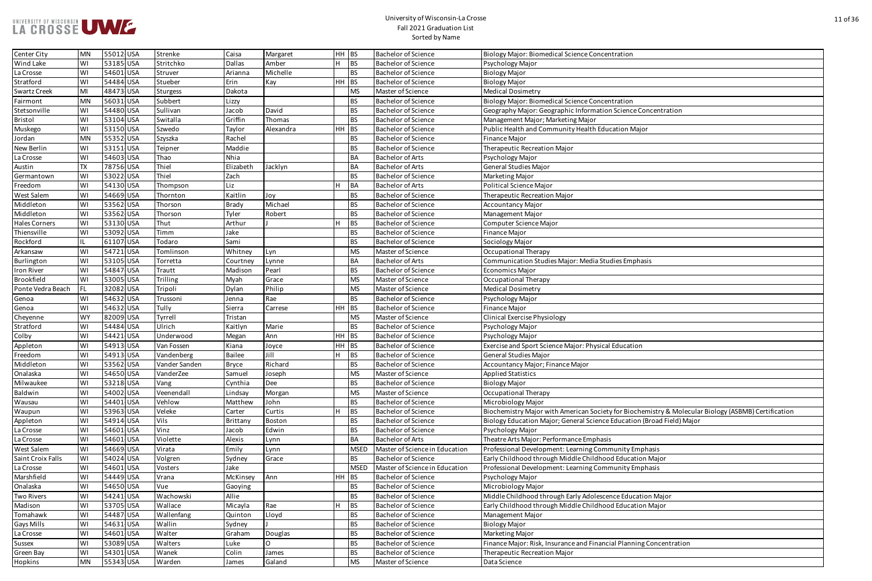

| entration                                                      |
|----------------------------------------------------------------|
|                                                                |
|                                                                |
|                                                                |
|                                                                |
| entration                                                      |
| on Science Concentration                                       |
|                                                                |
| ucation Major                                                  |
|                                                                |
|                                                                |
|                                                                |
|                                                                |
|                                                                |
|                                                                |
|                                                                |
|                                                                |
|                                                                |
|                                                                |
|                                                                |
|                                                                |
|                                                                |
| udies Emphasis:                                                |
|                                                                |
|                                                                |
|                                                                |
|                                                                |
|                                                                |
|                                                                |
|                                                                |
|                                                                |
| al Education                                                   |
|                                                                |
|                                                                |
|                                                                |
|                                                                |
|                                                                |
|                                                                |
| ety for Biochemistry & Molecular Biology (ASBMB) Certification |
| e Education (Broad Field) Major                                |
|                                                                |
| sis                                                            |
| nmunity Emphasis                                               |
| ood Education Major                                            |
| nmunity Emphasis                                               |
|                                                                |
|                                                                |
| ence Education Major:                                          |
| ood Education Major                                            |
|                                                                |
|                                                                |
|                                                                |
| cial Planning Concentration                                    |
|                                                                |
|                                                                |

| Center City          | <b>MN</b> | 55012 USA | Strenke         | Caisa         | Margaret        | HH BS        |             | <b>Bachelor of Science</b>     | <b>Biology Major: Biomedical Science Concentration</b>                                              |
|----------------------|-----------|-----------|-----------------|---------------|-----------------|--------------|-------------|--------------------------------|-----------------------------------------------------------------------------------------------------|
| Wind Lake            | WI        | 53185 USA | Stritchko       | <b>Dallas</b> | Amber           | H            | BS          | <b>Bachelor of Science</b>     | Psychology Major                                                                                    |
| La Crosse            | WI        | 54601 USA | Struver         | Arianna       | Michelle        |              | <b>BS</b>   | <b>Bachelor of Science</b>     | <b>Biology Major</b>                                                                                |
| Stratford            | WI        | 54484 USA | Stueber         | Erin          | Kay             | <b>HH</b>    | <b>BS</b>   | <b>Bachelor of Science</b>     | <b>Biology Major</b>                                                                                |
| Swartz Creek         | MI        | 48473 USA | <b>Sturgess</b> | Dakota        |                 |              | <b>MS</b>   | Master of Science              | <b>Medical Dosimetry</b>                                                                            |
| Fairmont             | <b>MN</b> | 56031 USA | Subbert         | Lizzy         |                 |              | <b>BS</b>   | <b>Bachelor of Science</b>     | Biology Major: Biomedical Science Concentration                                                     |
| Stetsonville         | WI        | 54480 USA | Sullivan        | Jacob         | David           |              | <b>BS</b>   | <b>Bachelor of Science</b>     | Geography Major: Geographic Information Science Concentration                                       |
| Bristol              | WI        | 53104 USA | Switalla        | Griffin       | Thomas          |              | <b>BS</b>   | <b>Bachelor of Science</b>     | Management Major; Marketing Major                                                                   |
| Muskego              | WI        | 53150 USA | Szwedo          | Taylor        | Alexandra       | HH BS        |             | <b>Bachelor of Science</b>     | Public Health and Community Health Education Major                                                  |
| Jordan               | <b>MN</b> | 55352 USA | Szyszka         | Rachel        |                 |              | <b>BS</b>   | <b>Bachelor of Science</b>     | Finance Major                                                                                       |
| New Berlin           | WI        | 53151 USA | Teipner         | Maddie        |                 |              | <b>BS</b>   | <b>Bachelor of Science</b>     | Therapeutic Recreation Major                                                                        |
| La Crosse            | WI        | 54603 USA | Thao            | Nhia          |                 |              | <b>BA</b>   | <b>Bachelor of Arts</b>        | Psychology Major                                                                                    |
| Austin               | <b>TX</b> | 78756 USA | Thiel           | Elizabeth     | Jacklyn         |              | <b>BA</b>   | <b>Bachelor of Arts</b>        | <b>General Studies Major</b>                                                                        |
| Germantown           | WI        | 53022 USA | Thiel           | Zach          |                 |              | <b>BS</b>   | <b>Bachelor of Science</b>     | Marketing Major                                                                                     |
| Freedom              | WI        | 54130 USA | Thompson        | Liz           |                 | H            | <b>BA</b>   | <b>Bachelor of Arts</b>        | <b>Political Science Major</b>                                                                      |
| West Salem           | WI        | 54669 USA | Thornton        | Kaitlin       | Joy             |              | <b>BS</b>   | <b>Bachelor of Science</b>     | Therapeutic Recreation Major                                                                        |
| Middleton            | WI        | 53562 USA | Thorson         | <b>Brady</b>  | Michael         |              | <b>BS</b>   | <b>Bachelor of Science</b>     | <b>Accountancy Major</b>                                                                            |
| Middleton            | WI        | 53562 USA | Thorson         | Tyler         | Robert          |              | <b>BS</b>   | <b>Bachelor of Science</b>     | Management Major                                                                                    |
| <b>Hales Corners</b> | WI        | 53130 USA | Thut            | Arthur        |                 | $\mathsf{H}$ | <b>BS</b>   | <b>Bachelor of Science</b>     | Computer Science Major                                                                              |
| Thiensville          | WI        | 53092 USA | Timm            | Jake          |                 |              | <b>BS</b>   | <b>Bachelor of Science</b>     | Finance Major                                                                                       |
| Rockford             | IL        | 61107 USA | Todaro          | Sami          |                 |              | <b>BS</b>   | <b>Bachelor of Science</b>     | Sociology Major                                                                                     |
| Arkansaw             | WI        | 54721 USA | Tomlinson       | Whitney       | Lyn             |              | <b>MS</b>   | Master of Science              | Occupational Therapy                                                                                |
| Burlington           | WI        | 53105 USA | Torretta        | Courtney      | Lynne           |              | <b>BA</b>   | <b>Bachelor of Arts</b>        | Communication Studies Major: Media Studies Emphasis                                                 |
| <b>Iron River</b>    | WI        | 54847 USA | Trautt          | Madison       | Pearl           |              | <b>BS</b>   | <b>Bachelor of Science</b>     | <b>Economics Major</b>                                                                              |
| Brookfield           | WI        | 53005 USA | Trilling        | Myah          | Grace           |              | <b>MS</b>   | Master of Science              | <b>Occupational Therapy</b>                                                                         |
| Ponte Vedra Beach    | l FI.     | 32082 USA | Tripoli         | Dylan         | Philip          |              | <b>MS</b>   | Master of Science              | <b>Medical Dosimetry</b>                                                                            |
| Genoa                | WI        | 54632 USA | Trussoni        | Jenna         | Rae             |              | <b>BS</b>   | <b>Bachelor of Science</b>     | Psychology Major                                                                                    |
| Genoa                | WI        | 54632 USA | Tully           | Sierra        | Carrese         | <b>HH</b>    | <b>BS</b>   | <b>Bachelor of Science</b>     | Finance Major                                                                                       |
| Cheyenne             | <b>WY</b> | 82009 USA | Tyrrell         | Tristan       |                 |              | <b>MS</b>   | Master of Science              | Clinical Exercise Physiology                                                                        |
| Stratford            | WI        | 54484 USA | Ulrich          | Kaitlyn       | Marie           |              | <b>BS</b>   | <b>Bachelor of Science</b>     | Psychology Major                                                                                    |
| Colby                | WI        | 54421 USA | Underwood       | Megan         | Ann             | <b>HH</b>    | <b>BS</b>   | <b>Bachelor of Science</b>     | Psychology Major                                                                                    |
| Appleton             | WI        | 54913 USA | Van Fossen      | Kiana         | Joyce           | <b>HH</b>    | <b>BS</b>   | <b>Bachelor of Science</b>     | Exercise and Sport Science Major: Physical Education                                                |
| Freedom              | WI        | 54913 USA | Vandenberg      | Bailee        | Jill            | $H$ BS       |             | <b>Bachelor of Science</b>     | General Studies Major                                                                               |
| Middleton            | WI        | 53562 USA | Vander Sanden   | <b>Bryce</b>  | Richard         |              | <b>BS</b>   | <b>Bachelor of Science</b>     | Accountancy Major; Finance Major                                                                    |
| Onalaska             | WI        | 54650 USA | VanderZee       | Samuel        | Joseph          |              | <b>MS</b>   | Master of Science              | <b>Applied Statistics</b>                                                                           |
| Milwaukee            | WI        | 53218 USA | Vang            | Cynthia       | Dee             |              | <b>BS</b>   | <b>Bachelor of Science</b>     | <b>Biology Major</b>                                                                                |
| Baldwin              | WI        | 54002 USA | Veenendall      | Lindsay       | Morgan          |              | <b>MS</b>   | Master of Science              | <b>Occupational Therapy</b>                                                                         |
| Wausau               | WI        | 54401 USA | Vehlow          | Matthew       | John            |              | <b>BS</b>   | <b>Bachelor of Science</b>     | Microbiology Major                                                                                  |
| Waupun               | WI        | 53963 USA | Veleke          | Carter        | Curtis          | H            | <b>BS</b>   | <b>Bachelor of Science</b>     | Biochemistry Major with American Society for Biochemistry & Molecular Biology (ASBMB) Certification |
| Appleton             | WI        | 54914 USA | Vils            | Brittany      | Boston          |              | <b>BS</b>   | <b>Bachelor of Science</b>     | Biology Education Major; General Science Education (Broad Field) Major                              |
| La Crosse            | WI        | 54601 USA | Vinz            | Jacob         | Edwin           |              | <b>BS</b>   | <b>Bachelor of Science</b>     | Psychology Major                                                                                    |
| La Crosse            | WI        | 54601 USA | Violette        | Alexis        | Lynn            |              | <b>BA</b>   | <b>Bachelor of Arts</b>        | Theatre Arts Major: Performance Emphasis                                                            |
| West Salem           | WI        | 54669 USA | Virata          | Emily         | Lynn            |              | <b>MSED</b> | Master of Science in Education | Professional Development: Learning Community Emphasis                                               |
| Saint Croix Falls    | WI        | 54024 USA | Volgren         | Sydney        | Grace           |              | <b>BS</b>   | <b>Bachelor of Science</b>     | Early Childhood through Middle Childhood Education Major                                            |
| La Crosse            | WI        | 54601 USA | Vosters         | Jake          |                 |              | <b>MSED</b> | Master of Science in Education | Professional Development: Learning Community Emphasis                                               |
| Marshfield           | WI        | 54449 USA | Vrana           | McKinsey      | Ann             | <b>HH</b>    | <b>BS</b>   | <b>Bachelor of Science</b>     | Psychology Major                                                                                    |
| Onalaska             | WI        | 54650 USA | Vue             | Gaoying       |                 |              | <b>BS</b>   | <b>Bachelor of Science</b>     | Microbiology Major                                                                                  |
| Two Rivers           | WI        | 54241 USA | Wachowski       | Allie         |                 |              | <b>BS</b>   | <b>Bachelor of Science</b>     | Middle Childhood through Early Adolescence Education Major                                          |
| Madison              | WI        | 53705 USA | Wallace         | Micayla       | Rae             | H            | <b>BS</b>   | <b>Bachelor of Science</b>     | Early Childhood through Middle Childhood Education Major                                            |
| Tomahawk             | WI        | 54487 USA | Wallenfang      | Quinton       | Lloyd           |              | <b>BS</b>   | <b>Bachelor of Science</b>     | Management Major                                                                                    |
| Gays Mills           | WI        | 54631 USA | Wallin          | Sydney        |                 |              | <b>BS</b>   | <b>Bachelor of Science</b>     | <b>Biology Major</b>                                                                                |
| La Crosse            | WI        | 54601 USA | Walter          | Graham        | Douglas         |              | <b>BS</b>   | <b>Bachelor of Science</b>     | Marketing Major                                                                                     |
|                      | WI        | 53089 USA | Walters         | Luke          | $\Omega$        |              | <b>BS</b>   | <b>Bachelor of Science</b>     | Finance Major: Risk, Insurance and Financial Planning Concentration                                 |
| Sussex               | WI        | 54301 USA | Wanek           | Colin         |                 |              | <b>BS</b>   | <b>Bachelor of Science</b>     |                                                                                                     |
| Green Bay            | MN        | 55343 USA | Warden          |               | James<br>Galand |              | <b>MS</b>   | Master of Science              | Therapeutic Recreation Major<br>Data Science                                                        |
| Hopkins              |           |           |                 | James         |                 |              |             |                                |                                                                                                     |